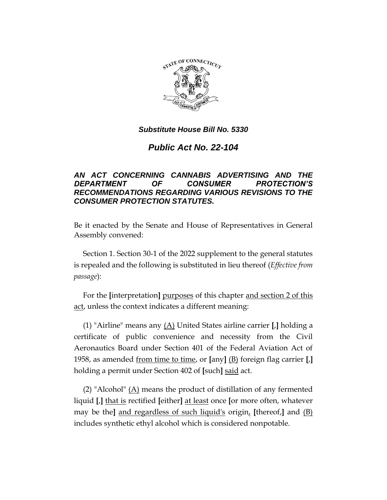

# *Public Act No. 22-104*

## *AN ACT CONCERNING CANNABIS ADVERTISING AND THE DEPARTMENT OF CONSUMER PROTECTION'S RECOMMENDATIONS REGARDING VARIOUS REVISIONS TO THE CONSUMER PROTECTION STATUTES.*

Be it enacted by the Senate and House of Representatives in General Assembly convened:

Section 1. Section 30-1 of the 2022 supplement to the general statutes is repealed and the following is substituted in lieu thereof (*Effective from passage*):

For the **[**interpretation**]** purposes of this chapter and section 2 of this act, unless the context indicates a different meaning:

(1) "Airline" means any (A) United States airline carrier **[**,**]** holding a certificate of public convenience and necessity from the Civil Aeronautics Board under Section 401 of the Federal Aviation Act of 1958, as amended from time to time, or **[**any**]** (B) foreign flag carrier **[**,**]** holding a permit under Section 402 of **[**such**]** said act.

(2) "Alcohol" (A) means the product of distillation of any fermented liquid **[**,**]** that is rectified **[**either**]** at least once **[**or more often, whatever may be the**]** and regardless of such liquid's origin, **[**thereof,**]** and (B) includes synthetic ethyl alcohol which is considered nonpotable.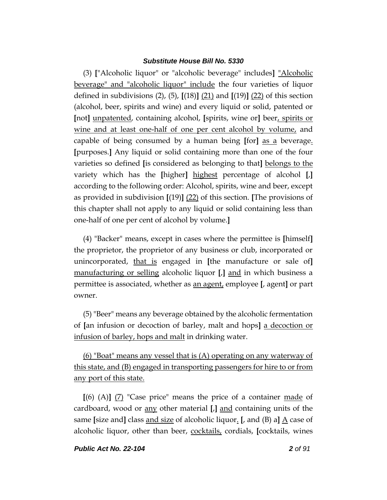(3) **[**"Alcoholic liquor" or "alcoholic beverage" includes**]** "Alcoholic beverage" and "alcoholic liquor" include the four varieties of liquor defined in subdivisions (2), (5), **[**(18)**]** (21) and **[**(19)**]** (22) of this section (alcohol, beer, spirits and wine) and every liquid or solid, patented or **[**not**]** unpatented, containing alcohol, **[**spirits, wine or**]** beer, spirits or wine and at least one-half of one per cent alcohol by volume, and capable of being consumed by a human being **[**for**]** as a beverage. **[**purposes.**]** Any liquid or solid containing more than one of the four varieties so defined **[**is considered as belonging to that**]** belongs to the variety which has the **[**higher**]** highest percentage of alcohol **[**,**]** according to the following order: Alcohol, spirits, wine and beer, except as provided in subdivision **[**(19)**]** (22) of this section. **[**The provisions of this chapter shall not apply to any liquid or solid containing less than one-half of one per cent of alcohol by volume.**]**

(4) "Backer" means, except in cases where the permittee is **[**himself**]** the proprietor, the proprietor of any business or club, incorporated or unincorporated, that is engaged in **[**the manufacture or sale of**]** manufacturing or selling alcoholic liquor **[**,**]** and in which business a permittee is associated, whether as an agent, employee **[**, agent**]** or part owner.

(5) "Beer" means any beverage obtained by the alcoholic fermentation of **[**an infusion or decoction of barley, malt and hops**]** a decoction or infusion of barley, hops and malt in drinking water.

(6) "Boat" means any vessel that is (A) operating on any waterway of this state, and (B) engaged in transporting passengers for hire to or from any port of this state.

**[**(6) (A)**]** (7) "Case price" means the price of a container made of cardboard, wood or any other material **[**,**]** and containing units of the same **[size and]** class <u>and size</u> of alcoholic liquor. **[**, and (B) a**]**  $\underline{A}$  case of alcoholic liquor, other than beer, cocktails, cordials, **[**cocktails, wines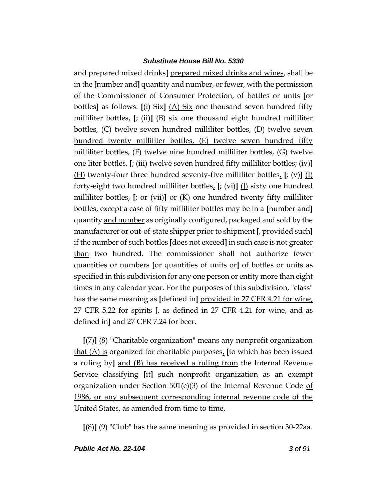and prepared mixed drinks**]** prepared mixed drinks and wines, shall be in the **[**number and**]** quantity and number, or fewer, with the permission of the Commissioner of Consumer Protection, of bottles or units **[**or bottles**]** as follows: **[**(i) Six**]** (A) Six one thousand seven hundred fifty milliliter bottles, **[**; (ii)**]** (B) six one thousand eight hundred milliliter bottles, (C) twelve seven hundred milliliter bottles, (D) twelve seven hundred twenty milliliter bottles, (E) twelve seven hundred fifty milliliter bottles, (F) twelve nine hundred milliliter bottles, (G) twelve one liter bottles, **[**; (iii) twelve seven hundred fifty milliliter bottles; (iv)**]** (H) twenty-four three hundred seventy-five milliliter bottles, **[**; (v)**]** (I) forty-eight two hundred milliliter bottles, **[**; (vi)**]** (J) sixty one hundred milliliter bottles, [; or (vii)] <u>or (K)</u> one hundred twenty fifty milliliter bottles, except a case of fifty milliliter bottles may be in a **[**number and**]** quantity and number as originally configured, packaged and sold by the manufacturer or out-of-state shipper prior to shipment **[**, provided such**]** if the number of such bottles **[**does not exceed**]** in such case is not greater than two hundred. The commissioner shall not authorize fewer quantities or numbers **[**or quantities of units or**]** of bottles or units as specified in this subdivision for any one person or entity more than eight times in any calendar year. For the purposes of this subdivision, "class" has the same meaning as **[**defined in**]** provided in 27 CFR 4.21 for wine, 27 CFR 5.22 for spirits **[**, as defined in 27 CFR 4.21 for wine, and as defined in**]** and 27 CFR 7.24 for beer.

**[**(7)**]** (8) "Charitable organization" means any nonprofit organization that (A) is organized for charitable purposes, **[**to which has been issued a ruling by**]** and (B) has received a ruling from the Internal Revenue Service classifying [it] such nonprofit organization as an exempt organization under Section  $501(c)(3)$  of the Internal Revenue Code of 1986, or any subsequent corresponding internal revenue code of the United States, as amended from time to time.

**[**(8)**]** (9) "Club" has the same meaning as provided in section 30-22aa.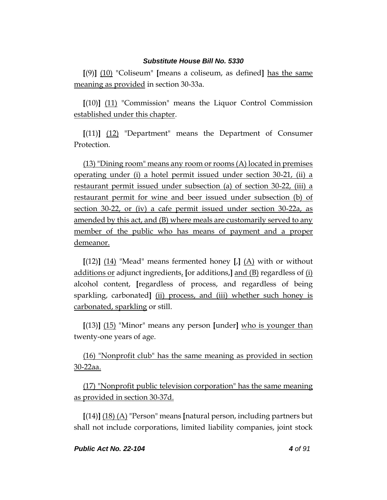**[**(9)**]** (10) "Coliseum" **[**means a coliseum, as defined**]** has the same meaning as provided in section 30-33a.

**[**(10)**]** (11) "Commission" means the Liquor Control Commission established under this chapter.

**[**(11)**]** (12) "Department" means the Department of Consumer Protection.

(13) "Dining room" means any room or rooms (A) located in premises operating under (i) a hotel permit issued under section 30-21, (ii) a restaurant permit issued under subsection (a) of section 30-22, (iii) a restaurant permit for wine and beer issued under subsection (b) of section 30-22, or (iv) a cafe permit issued under section 30-22a, as amended by this act, and (B) where meals are customarily served to any member of the public who has means of payment and a proper demeanor.

 $[(12)]$   $(14)$  "Mead" means fermented honey  $\left[\frac{1}{14}\right]$  with or without additions or adjunct ingredients, **[**or additions,**]** and (B) regardless of (i) alcohol content, **[**regardless of process, and regardless of being sparkling, carbonated**]** (ii) process, and (iii) whether such honey is carbonated, sparkling or still.

**[**(13)**]** (15) "Minor" means any person **[**under**]** who is younger than twenty-one years of age.

(16) "Nonprofit club" has the same meaning as provided in section 30-22aa.

(17) "Nonprofit public television corporation" has the same meaning as provided in section 30-37d.

**[**(14)**]** (18) (A) "Person" means **[**natural person, including partners but shall not include corporations, limited liability companies, joint stock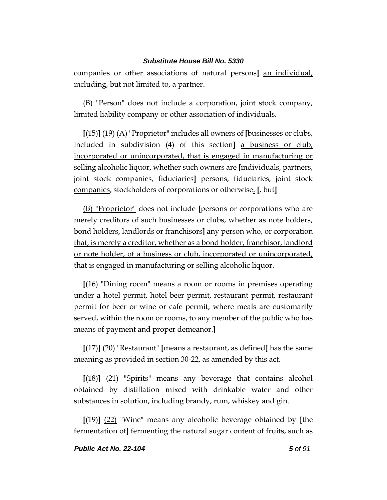companies or other associations of natural persons**]** an individual, including, but not limited to, a partner.

(B) "Person" does not include a corporation, joint stock company, limited liability company or other association of individuals.

**[**(15)**]** (19) (A) "Proprietor" includes all owners of **[**businesses or clubs, included in subdivision (4) of this section**]** a business or club, incorporated or unincorporated, that is engaged in manufacturing or selling alcoholic liquor, whether such owners are **[**individuals, partners, joint stock companies, fiduciaries**]** persons, fiduciaries, joint stock companies, stockholders of corporations or otherwise. **[**, but**]**

(B) "Proprietor" does not include **[**persons or corporations who are merely creditors of such businesses or clubs, whether as note holders, bond holders, landlords or franchisors**]** any person who, or corporation that, is merely a creditor, whether as a bond holder, franchisor, landlord or note holder, of a business or club, incorporated or unincorporated, that is engaged in manufacturing or selling alcoholic liquor.

**[**(16) "Dining room" means a room or rooms in premises operating under a hotel permit, hotel beer permit, restaurant permit, restaurant permit for beer or wine or cafe permit, where meals are customarily served, within the room or rooms, to any member of the public who has means of payment and proper demeanor.**]**

**[**(17)**]** (20) "Restaurant" **[**means a restaurant, as defined**]** has the same meaning as provided in section 30-22, as amended by this act.

**[**(18)**]** (21) "Spirits" means any beverage that contains alcohol obtained by distillation mixed with drinkable water and other substances in solution, including brandy, rum, whiskey and gin.

**[**(19)**]** (22) "Wine" means any alcoholic beverage obtained by **[**the fermentation of**]** fermenting the natural sugar content of fruits, such as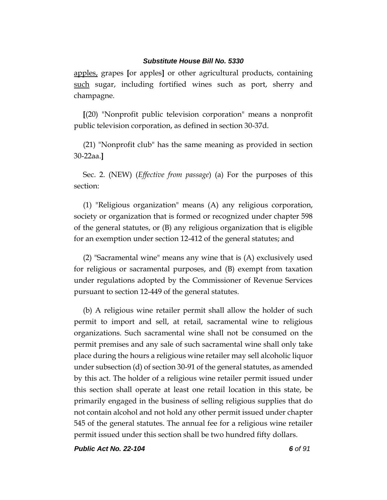apples, grapes **[**or apples**]** or other agricultural products, containing such sugar, including fortified wines such as port, sherry and champagne.

**[**(20) "Nonprofit public television corporation" means a nonprofit public television corporation, as defined in section 30-37d.

(21) "Nonprofit club" has the same meaning as provided in section 30-22aa.**]**

Sec. 2. (NEW) (*Effective from passage*) (a) For the purposes of this section:

(1) "Religious organization" means (A) any religious corporation, society or organization that is formed or recognized under chapter 598 of the general statutes, or (B) any religious organization that is eligible for an exemption under section 12-412 of the general statutes; and

(2) "Sacramental wine" means any wine that is (A) exclusively used for religious or sacramental purposes, and (B) exempt from taxation under regulations adopted by the Commissioner of Revenue Services pursuant to section 12-449 of the general statutes.

(b) A religious wine retailer permit shall allow the holder of such permit to import and sell, at retail, sacramental wine to religious organizations. Such sacramental wine shall not be consumed on the permit premises and any sale of such sacramental wine shall only take place during the hours a religious wine retailer may sell alcoholic liquor under subsection (d) of section 30-91 of the general statutes, as amended by this act. The holder of a religious wine retailer permit issued under this section shall operate at least one retail location in this state, be primarily engaged in the business of selling religious supplies that do not contain alcohol and not hold any other permit issued under chapter 545 of the general statutes. The annual fee for a religious wine retailer permit issued under this section shall be two hundred fifty dollars.

*Public Act No. 22-104 6 of 91*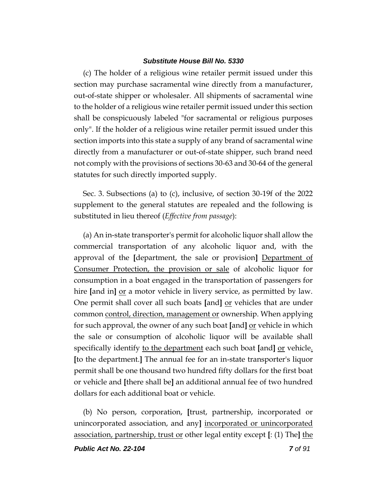(c) The holder of a religious wine retailer permit issued under this section may purchase sacramental wine directly from a manufacturer, out-of-state shipper or wholesaler. All shipments of sacramental wine to the holder of a religious wine retailer permit issued under this section shall be conspicuously labeled "for sacramental or religious purposes only". If the holder of a religious wine retailer permit issued under this section imports into this state a supply of any brand of sacramental wine directly from a manufacturer or out-of-state shipper, such brand need not comply with the provisions of sections 30-63 and 30-64 of the general statutes for such directly imported supply.

Sec. 3. Subsections (a) to (c), inclusive, of section 30-19f of the 2022 supplement to the general statutes are repealed and the following is substituted in lieu thereof (*Effective from passage*):

(a) An in-state transporter's permit for alcoholic liquor shall allow the commercial transportation of any alcoholic liquor and, with the approval of the **[**department, the sale or provision**]** Department of Consumer Protection, the provision or sale of alcoholic liquor for consumption in a boat engaged in the transportation of passengers for hire **[**and in**]** or a motor vehicle in livery service, as permitted by law. One permit shall cover all such boats **[**and**]** or vehicles that are under common control, direction, management or ownership. When applying for such approval, the owner of any such boat **[**and**]** or vehicle in which the sale or consumption of alcoholic liquor will be available shall specifically identify to the department each such boat [and] or vehicle. **[**to the department.**]** The annual fee for an in-state transporter's liquor permit shall be one thousand two hundred fifty dollars for the first boat or vehicle and **[**there shall be**]** an additional annual fee of two hundred dollars for each additional boat or vehicle.

(b) No person, corporation, **[**trust, partnership, incorporated or unincorporated association, and any**]** incorporated or unincorporated association, partnership, trust or other legal entity except **[**: (1) The**]** the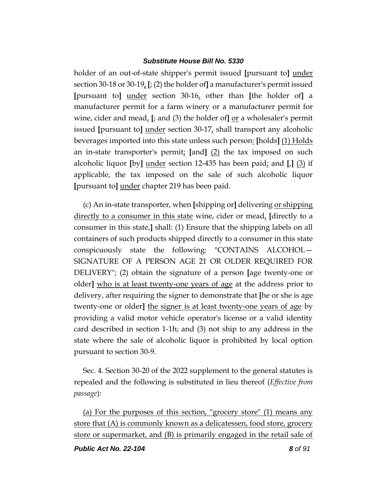holder of an out-of-state shipper's permit issued **[**pursuant to**]** under section 30-18 or 30-19, **[**; (2) the holder of**]** a manufacturer's permit issued **[**pursuant to**]** under section 30-16, other than **[**the holder of**]** a manufacturer permit for a farm winery or a manufacturer permit for wine, cider and mead, **[**; and (3) the holder of**]** or a wholesaler's permit issued **[**pursuant to**]** under section 30-17, shall transport any alcoholic beverages imported into this state unless such person: **[**holds**]** (1) Holds an in-state transporter's permit; **[**and**]** (2) the tax imposed on such alcoholic liquor **[**by**]** under section 12-435 has been paid; and **[**,**]** (3) if applicable, the tax imposed on the sale of such alcoholic liquor **[**pursuant to**]** under chapter 219 has been paid.

(c) An in-state transporter, when **[**shipping or**]** delivering or shipping directly to a consumer in this state wine, cider or mead, **[**directly to a consumer in this state,**]** shall: (1) Ensure that the shipping labels on all containers of such products shipped directly to a consumer in this state conspicuously state the following: "CONTAINS ALCOHOL— SIGNATURE OF A PERSON AGE 21 OR OLDER REQUIRED FOR DELIVERY"; (2) obtain the signature of a person **[**age twenty-one or older**]** who is at least twenty-one years of age at the address prior to delivery, after requiring the signer to demonstrate that **[**he or she is age twenty-one or older**]** the signer is at least twenty-one years of age by providing a valid motor vehicle operator's license or a valid identity card described in section 1-1h; and (3) not ship to any address in the state where the sale of alcoholic liquor is prohibited by local option pursuant to section 30-9.

Sec. 4. Section 30-20 of the 2022 supplement to the general statutes is repealed and the following is substituted in lieu thereof (*Effective from passage*):

(a) For the purposes of this section, "grocery store" (1) means any store that (A) is commonly known as a delicatessen, food store, grocery store or supermarket, and (B) is primarily engaged in the retail sale of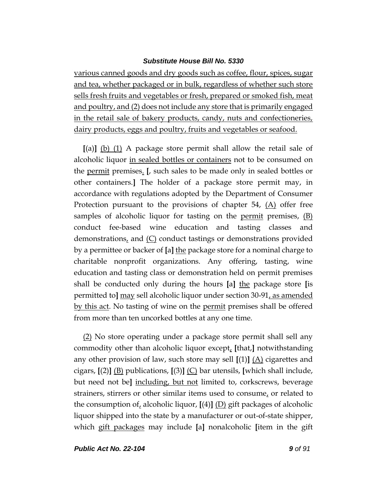various canned goods and dry goods such as coffee, flour, spices, sugar and tea, whether packaged or in bulk, regardless of whether such store sells fresh fruits and vegetables or fresh, prepared or smoked fish, meat and poultry, and (2) does not include any store that is primarily engaged in the retail sale of bakery products, candy, nuts and confectioneries, dairy products, eggs and poultry, fruits and vegetables or seafood.

**[**(a)**]** (b) (1) A package store permit shall allow the retail sale of alcoholic liquor in sealed bottles or containers not to be consumed on the permit premises. **[**, such sales to be made only in sealed bottles or other containers.**]** The holder of a package store permit may, in accordance with regulations adopted by the Department of Consumer Protection pursuant to the provisions of chapter 54, (A) offer free samples of alcoholic liquor for tasting on the <u>permit</u> premises,  $(B)$ conduct fee-based wine education and tasting classes and demonstrations, and  $(C)$  conduct tastings or demonstrations provided by a permittee or backer of **[**a**]** the package store for a nominal charge to charitable nonprofit organizations. Any offering, tasting, wine education and tasting class or demonstration held on permit premises shall be conducted only during the hours **[**a**]** the package store **[**is permitted to**]** may sell alcoholic liquor under section 30-91, as amended by this act. No tasting of wine on the permit premises shall be offered from more than ten uncorked bottles at any one time.

(2) No store operating under a package store permit shall sell any commodity other than alcoholic liquor except, **[**that,**]** notwithstanding any other provision of law, such store may sell  $[(1)]$   $(A)$  cigarettes and cigars, **[**(2)**]** (B) publications, **[**(3)**]** (C) bar utensils, **[**which shall include, but need not be**]** including, but not limited to, corkscrews, beverage strainers, stirrers or other similar items used to consume, or related to the consumption of, alcoholic liquor,  $[(4)]$   $(D)$  gift packages of alcoholic liquor shipped into the state by a manufacturer or out-of-state shipper, which gift packages may include **[**a**]** nonalcoholic **[**item in the gift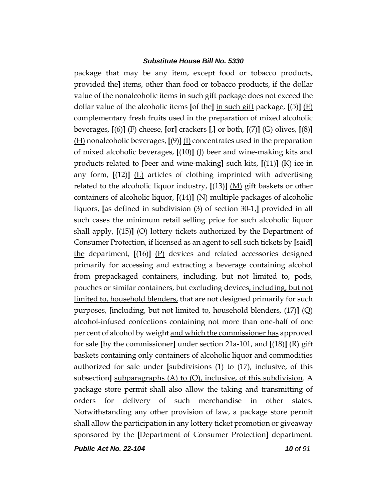package that may be any item, except food or tobacco products, provided the**]** items, other than food or tobacco products, if the dollar value of the nonalcoholic items in such gift package does not exceed the dollar value of the alcoholic items **[**of the**]** in such gift package, **[**(5)**]** (E) complementary fresh fruits used in the preparation of mixed alcoholic beverages, **[**(6)**]** (F) cheese, **[**or**]** crackers **[**,**]** or both, **[**(7)**]** (G) olives, **[**(8)**]** (H) nonalcoholic beverages, **[**(9)**]** (I) concentrates used in the preparation of mixed alcoholic beverages, **[**(10)**]** (J) beer and wine-making kits and products related to **[**beer and wine-making**]** such kits, **[**(11)**]** (K) ice in any form,  $[(12)]$   $(L)$  articles of clothing imprinted with advertising related to the alcoholic liquor industry, **[**(13)**]** (M) gift baskets or other containers of alcoholic liquor, **[**(14)**]** (N) multiple packages of alcoholic liquors, **[**as defined in subdivision (3) of section 30-1,**]** provided in all such cases the minimum retail selling price for such alcoholic liquor shall apply, **[**(15)**]** (O) lottery tickets authorized by the Department of Consumer Protection, if licensed as an agent to sell such tickets by **[**said**]** the department, **[**(16)**]** (P) devices and related accessories designed primarily for accessing and extracting a beverage containing alcohol from prepackaged containers, including, but not limited to, pods, pouches or similar containers, but excluding devices, including, but not limited to, household blenders, that are not designed primarily for such purposes, **[**including, but not limited to, household blenders, (17)**]** (Q) alcohol-infused confections containing not more than one-half of one per cent of alcohol by weight and which the commissioner has approved for sale **[**by the commissioner**]** under section 21a-101, and **[**(18)**]** (R) gift baskets containing only containers of alcoholic liquor and commodities authorized for sale under **[**subdivisions (1) to (17), inclusive, of this subsection**]** subparagraphs (A) to (Q), inclusive, of this subdivision. A package store permit shall also allow the taking and transmitting of orders for delivery of such merchandise in other states. Notwithstanding any other provision of law, a package store permit shall allow the participation in any lottery ticket promotion or giveaway sponsored by the **[**Department of Consumer Protection**]** department.

*Public Act No. 22-104 10 of 91*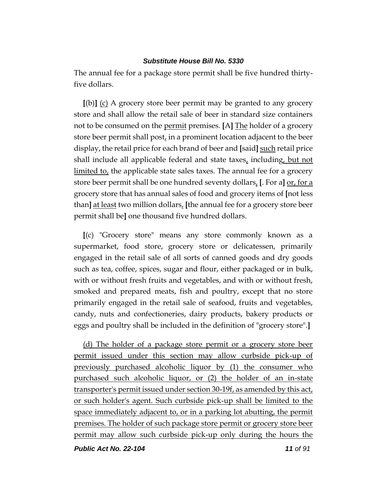The annual fee for a package store permit shall be five hundred thirtyfive dollars.

**[**(b)**]** (c) A grocery store beer permit may be granted to any grocery store and shall allow the retail sale of beer in standard size containers not to be consumed on the permit premises. **[**A**]** The holder of a grocery store beer permit shall post, in a prominent location adjacent to the beer display, the retail price for each brand of beer and **[**said**]** such retail price shall include all applicable federal and state taxes, including, but not limited to, the applicable state sales taxes. The annual fee for a grocery store beer permit shall be one hundred seventy dollars, **[**. For a**]** or, for a grocery store that has annual sales of food and grocery items of **[**not less than**]** at least two million dollars, **[**the annual fee for a grocery store beer permit shall be**]** one thousand five hundred dollars.

**[**(c) "Grocery store" means any store commonly known as a supermarket, food store, grocery store or delicatessen, primarily engaged in the retail sale of all sorts of canned goods and dry goods such as tea, coffee, spices, sugar and flour, either packaged or in bulk, with or without fresh fruits and vegetables, and with or without fresh, smoked and prepared meats, fish and poultry, except that no store primarily engaged in the retail sale of seafood, fruits and vegetables, candy, nuts and confectioneries, dairy products, bakery products or eggs and poultry shall be included in the definition of "grocery store".**]**

(d) The holder of a package store permit or a grocery store beer permit issued under this section may allow curbside pick-up of previously purchased alcoholic liquor by (1) the consumer who purchased such alcoholic liquor, or (2) the holder of an in-state transporter's permit issued under section 30-19f, as amended by this act, or such holder's agent. Such curbside pick-up shall be limited to the space immediately adjacent to, or in a parking lot abutting, the permit premises. The holder of such package store permit or grocery store beer permit may allow such curbside pick-up only during the hours the

*Public Act No. 22-104 11 of 91*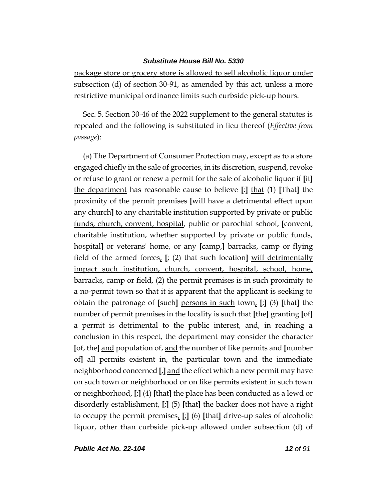package store or grocery store is allowed to sell alcoholic liquor under subsection (d) of section 30-91, as amended by this act, unless a more restrictive municipal ordinance limits such curbside pick-up hours.

Sec. 5. Section 30-46 of the 2022 supplement to the general statutes is repealed and the following is substituted in lieu thereof (*Effective from passage*):

(a) The Department of Consumer Protection may, except as to a store engaged chiefly in the sale of groceries, in its discretion, suspend, revoke or refuse to grant or renew a permit for the sale of alcoholic liquor if **[**it**]** the department has reasonable cause to believe **[**:**]** that (1) **[**That**]** the proximity of the permit premises **[**will have a detrimental effect upon any church**]** to any charitable institution supported by private or public funds, church, convent, hospital, public or parochial school, **[**convent, charitable institution, whether supported by private or public funds, hospital**]** or veterans' home, or any **[**camp,**]** barracks, camp or flying field of the armed forces, **[**; (2) that such location**]** will detrimentally impact such institution, church, convent, hospital, school, home, barracks, camp or field, (2) the permit premises is in such proximity to a no-permit town so that it is apparent that the applicant is seeking to obtain the patronage of **[**such**]** persons in such town, **[**;**]** (3) **[**that**]** the number of permit premises in the locality is such that **[**the**]** granting **[**of**]** a permit is detrimental to the public interest, and, in reaching a conclusion in this respect, the department may consider the character **[**of, the**]** and population of, and the number of like permits and **[**number of**]** all permits existent in, the particular town and the immediate neighborhood concerned **[**,**]** and the effect which a new permit may have on such town or neighborhood or on like permits existent in such town or neighborhood, **[**;**]** (4) **[**that**]** the place has been conducted as a lewd or disorderly establishment, **[**;**]** (5) **[**that**]** the backer does not have a right to occupy the permit premises, **[**;**]** (6) **[**that**]** drive-up sales of alcoholic liquor, other than curbside pick-up allowed under subsection (d) of

*Public Act No. 22-104 12 of 91*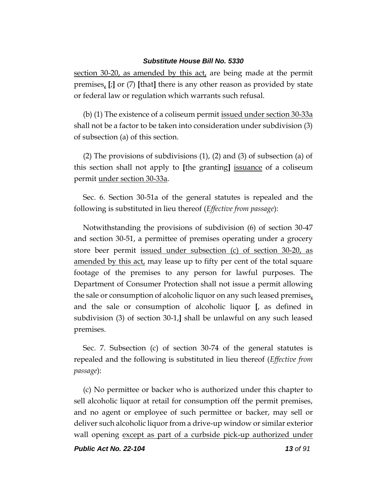section 30-20, as amended by this act, are being made at the permit premises, **[**;**]** or (7) **[**that**]** there is any other reason as provided by state or federal law or regulation which warrants such refusal.

(b) (1) The existence of a coliseum permit issued under section 30-33a shall not be a factor to be taken into consideration under subdivision (3) of subsection (a) of this section.

(2) The provisions of subdivisions (1), (2) and (3) of subsection (a) of this section shall not apply to **[**the granting**]** issuance of a coliseum permit under section 30-33a.

Sec. 6. Section 30-51a of the general statutes is repealed and the following is substituted in lieu thereof (*Effective from passage*):

Notwithstanding the provisions of subdivision (6) of section 30-47 and section 30-51, a permittee of premises operating under a grocery store beer permit issued under subsection (c) of section 30-20, as amended by this act, may lease up to fifty per cent of the total square footage of the premises to any person for lawful purposes. The Department of Consumer Protection shall not issue a permit allowing the sale or consumption of alcoholic liquor on any such leased premises, and the sale or consumption of alcoholic liquor **[**, as defined in subdivision (3) of section 30-1,**]** shall be unlawful on any such leased premises.

Sec. 7. Subsection (c) of section 30-74 of the general statutes is repealed and the following is substituted in lieu thereof (*Effective from passage*):

(c) No permittee or backer who is authorized under this chapter to sell alcoholic liquor at retail for consumption off the permit premises, and no agent or employee of such permittee or backer, may sell or deliver such alcoholic liquor from a drive-up window or similar exterior wall opening except as part of a curbside pick-up authorized under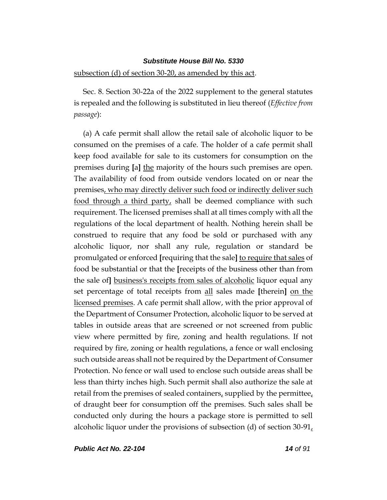#### subsection (d) of section 30-20, as amended by this act.

Sec. 8. Section 30-22a of the 2022 supplement to the general statutes is repealed and the following is substituted in lieu thereof (*Effective from passage*):

(a) A cafe permit shall allow the retail sale of alcoholic liquor to be consumed on the premises of a cafe. The holder of a cafe permit shall keep food available for sale to its customers for consumption on the premises during **[**a**]** the majority of the hours such premises are open. The availability of food from outside vendors located on or near the premises, who may directly deliver such food or indirectly deliver such food through a third party, shall be deemed compliance with such requirement. The licensed premises shall at all times comply with all the regulations of the local department of health. Nothing herein shall be construed to require that any food be sold or purchased with any alcoholic liquor, nor shall any rule, regulation or standard be promulgated or enforced **[**requiring that the sale**]** to require that sales of food be substantial or that the **[**receipts of the business other than from the sale of**]** business's receipts from sales of alcoholic liquor equal any set percentage of total receipts from all sales made **[**therein**]** on the licensed premises. A cafe permit shall allow, with the prior approval of the Department of Consumer Protection, alcoholic liquor to be served at tables in outside areas that are screened or not screened from public view where permitted by fire, zoning and health regulations. If not required by fire, zoning or health regulations, a fence or wall enclosing such outside areas shall not be required by the Department of Consumer Protection. No fence or wall used to enclose such outside areas shall be less than thirty inches high. Such permit shall also authorize the sale at retail from the premises of sealed containers, supplied by the permittee, of draught beer for consumption off the premises. Such sales shall be conducted only during the hours a package store is permitted to sell alcoholic liquor under the provisions of subsection (d) of section 30-91,

*Public Act No. 22-104 14 of 91*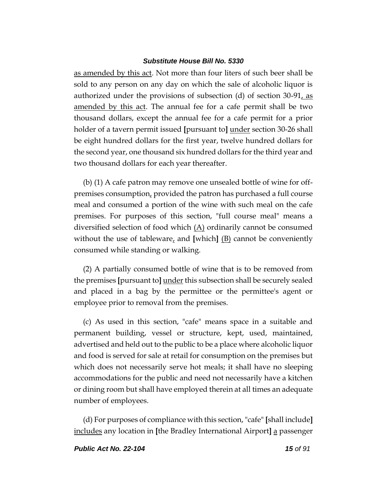as amended by this act. Not more than four liters of such beer shall be sold to any person on any day on which the sale of alcoholic liquor is authorized under the provisions of subsection (d) of section 30-91, as amended by this act. The annual fee for a cafe permit shall be two thousand dollars, except the annual fee for a cafe permit for a prior holder of a tavern permit issued **[**pursuant to**]** under section 30-26 shall be eight hundred dollars for the first year, twelve hundred dollars for the second year, one thousand six hundred dollars for the third year and two thousand dollars for each year thereafter.

(b) (1) A cafe patron may remove one unsealed bottle of wine for offpremises consumption, provided the patron has purchased a full course meal and consumed a portion of the wine with such meal on the cafe premises. For purposes of this section, "full course meal" means a diversified selection of food which  $(A)$  ordinarily cannot be consumed without the use of tableware, and **[**which**]** (B) cannot be conveniently consumed while standing or walking.

(2) A partially consumed bottle of wine that is to be removed from the premises **[**pursuant to**]** under this subsection shall be securely sealed and placed in a bag by the permittee or the permittee's agent or employee prior to removal from the premises.

(c) As used in this section, "cafe" means space in a suitable and permanent building, vessel or structure, kept, used, maintained, advertised and held out to the public to be a place where alcoholic liquor and food is served for sale at retail for consumption on the premises but which does not necessarily serve hot meals; it shall have no sleeping accommodations for the public and need not necessarily have a kitchen or dining room but shall have employed therein at all times an adequate number of employees.

(d) For purposes of compliance with this section, "cafe" **[**shall include**]** includes any location in **[**the Bradley International Airport**]** a passenger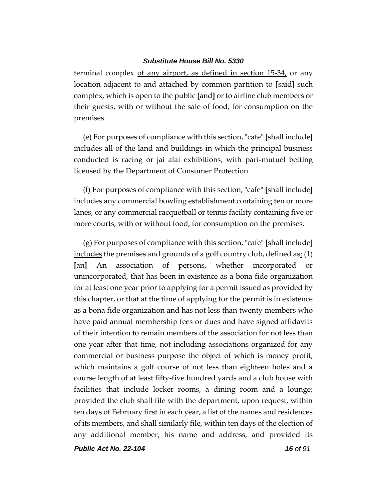terminal complex of any airport, as defined in section 15-34, or any location adjacent to and attached by common partition to **[**said**]** such complex, which is open to the public **[**and**]** or to airline club members or their guests, with or without the sale of food, for consumption on the premises.

(e) For purposes of compliance with this section, "cafe" **[**shall include**]** includes all of the land and buildings in which the principal business conducted is racing or jai alai exhibitions, with pari-mutuel betting licensed by the Department of Consumer Protection.

(f) For purposes of compliance with this section, "cafe" **[**shall include**]** includes any commercial bowling establishment containing ten or more lanes, or any commercial racquetball or tennis facility containing five or more courts, with or without food, for consumption on the premises.

(g) For purposes of compliance with this section, "cafe" **[**shall include**]** includes the premises and grounds of a golf country club, defined as:  $(1)$ **[**an**]** An association of persons, whether incorporated or unincorporated, that has been in existence as a bona fide organization for at least one year prior to applying for a permit issued as provided by this chapter, or that at the time of applying for the permit is in existence as a bona fide organization and has not less than twenty members who have paid annual membership fees or dues and have signed affidavits of their intention to remain members of the association for not less than one year after that time, not including associations organized for any commercial or business purpose the object of which is money profit, which maintains a golf course of not less than eighteen holes and a course length of at least fifty-five hundred yards and a club house with facilities that include locker rooms, a dining room and a lounge; provided the club shall file with the department, upon request, within ten days of February first in each year, a list of the names and residences of its members, and shall similarly file, within ten days of the election of any additional member, his name and address, and provided its

*Public Act No. 22-104 16 of 91*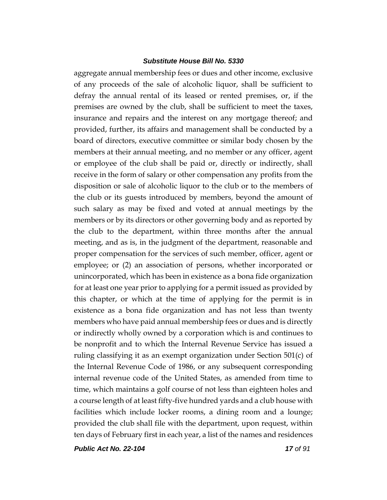aggregate annual membership fees or dues and other income, exclusive of any proceeds of the sale of alcoholic liquor, shall be sufficient to defray the annual rental of its leased or rented premises, or, if the premises are owned by the club, shall be sufficient to meet the taxes, insurance and repairs and the interest on any mortgage thereof; and provided, further, its affairs and management shall be conducted by a board of directors, executive committee or similar body chosen by the members at their annual meeting, and no member or any officer, agent or employee of the club shall be paid or, directly or indirectly, shall receive in the form of salary or other compensation any profits from the disposition or sale of alcoholic liquor to the club or to the members of the club or its guests introduced by members, beyond the amount of such salary as may be fixed and voted at annual meetings by the members or by its directors or other governing body and as reported by the club to the department, within three months after the annual meeting, and as is, in the judgment of the department, reasonable and proper compensation for the services of such member, officer, agent or employee; or (2) an association of persons, whether incorporated or unincorporated, which has been in existence as a bona fide organization for at least one year prior to applying for a permit issued as provided by this chapter, or which at the time of applying for the permit is in existence as a bona fide organization and has not less than twenty members who have paid annual membership fees or dues and is directly or indirectly wholly owned by a corporation which is and continues to be nonprofit and to which the Internal Revenue Service has issued a ruling classifying it as an exempt organization under Section 501(c) of the Internal Revenue Code of 1986, or any subsequent corresponding internal revenue code of the United States, as amended from time to time, which maintains a golf course of not less than eighteen holes and a course length of at least fifty-five hundred yards and a club house with facilities which include locker rooms, a dining room and a lounge; provided the club shall file with the department, upon request, within ten days of February first in each year, a list of the names and residences

*Public Act No. 22-104 17 of 91*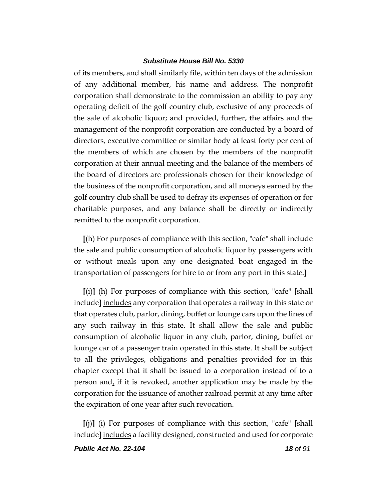of its members, and shall similarly file, within ten days of the admission of any additional member, his name and address. The nonprofit corporation shall demonstrate to the commission an ability to pay any operating deficit of the golf country club, exclusive of any proceeds of the sale of alcoholic liquor; and provided, further, the affairs and the management of the nonprofit corporation are conducted by a board of directors, executive committee or similar body at least forty per cent of the members of which are chosen by the members of the nonprofit corporation at their annual meeting and the balance of the members of the board of directors are professionals chosen for their knowledge of the business of the nonprofit corporation, and all moneys earned by the golf country club shall be used to defray its expenses of operation or for charitable purposes, and any balance shall be directly or indirectly remitted to the nonprofit corporation.

**[**(h) For purposes of compliance with this section, "cafe" shall include the sale and public consumption of alcoholic liquor by passengers with or without meals upon any one designated boat engaged in the transportation of passengers for hire to or from any port in this state.**]**

**[**(i)**]** (h) For purposes of compliance with this section, "cafe" **[**shall include**]** includes any corporation that operates a railway in this state or that operates club, parlor, dining, buffet or lounge cars upon the lines of any such railway in this state. It shall allow the sale and public consumption of alcoholic liquor in any club, parlor, dining, buffet or lounge car of a passenger train operated in this state. It shall be subject to all the privileges, obligations and penalties provided for in this chapter except that it shall be issued to a corporation instead of to a person and, if it is revoked, another application may be made by the corporation for the issuance of another railroad permit at any time after the expiration of one year after such revocation.

**[**(j)**]** (i) For purposes of compliance with this section, "cafe" **[**shall include**]** includes a facility designed, constructed and used for corporate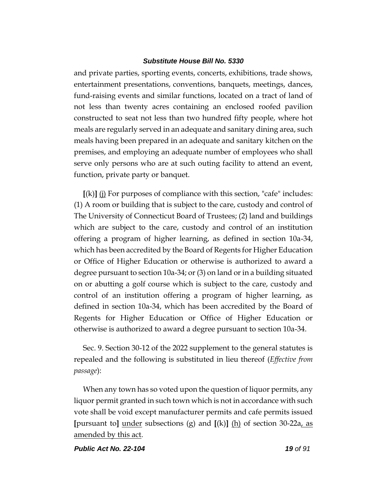and private parties, sporting events, concerts, exhibitions, trade shows, entertainment presentations, conventions, banquets, meetings, dances, fund-raising events and similar functions, located on a tract of land of not less than twenty acres containing an enclosed roofed pavilion constructed to seat not less than two hundred fifty people, where hot meals are regularly served in an adequate and sanitary dining area, such meals having been prepared in an adequate and sanitary kitchen on the premises, and employing an adequate number of employees who shall serve only persons who are at such outing facility to attend an event, function, private party or banquet.

**[**(k)**]** (j) For purposes of compliance with this section, "cafe" includes: (1) A room or building that is subject to the care, custody and control of The University of Connecticut Board of Trustees; (2) land and buildings which are subject to the care, custody and control of an institution offering a program of higher learning, as defined in section 10a-34, which has been accredited by the Board of Regents for Higher Education or Office of Higher Education or otherwise is authorized to award a degree pursuant to section 10a-34; or (3) on land or in a building situated on or abutting a golf course which is subject to the care, custody and control of an institution offering a program of higher learning, as defined in section 10a-34, which has been accredited by the Board of Regents for Higher Education or Office of Higher Education or otherwise is authorized to award a degree pursuant to section 10a-34.

Sec. 9. Section 30-12 of the 2022 supplement to the general statutes is repealed and the following is substituted in lieu thereof (*Effective from passage*):

When any town has so voted upon the question of liquor permits, any liquor permit granted in such town which is not in accordance with such vote shall be void except manufacturer permits and cafe permits issued **[**pursuant to**]** under subsections (g) and **[**(k)**]** (h) of section 30-22a, as amended by this act.

*Public Act No. 22-104 19 of 91*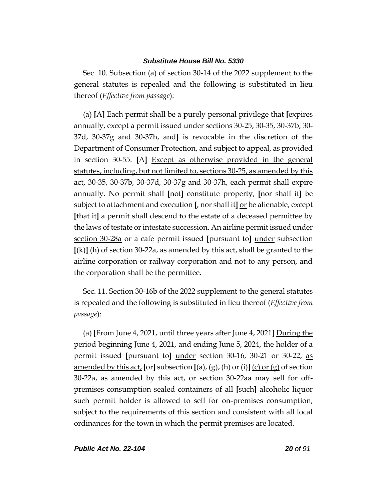Sec. 10. Subsection (a) of section 30-14 of the 2022 supplement to the general statutes is repealed and the following is substituted in lieu thereof (*Effective from passage*):

(a) **[**A**]** Each permit shall be a purely personal privilege that **[**expires annually, except a permit issued under sections 30-25, 30-35, 30-37b, 30- 37d, 30-37g and 30-37h, and**]** is revocable in the discretion of the Department of Consumer Protection, and subject to appeal, as provided in section 30-55. **[**A**]** Except as otherwise provided in the general statutes, including, but not limited to, sections 30-25, as amended by this act, 30-35, 30-37b, 30-37d, 30-37g and 30-37h, each permit shall expire annually. No permit shall **[**not**]** constitute property, **[**nor shall it**]** be subject to attachment and execution **[**, nor shall it**]** or be alienable, except **[**that it**]** a permit shall descend to the estate of a deceased permittee by the laws of testate or intestate succession. An airline permit issued under section 30-28a or a cafe permit issued **[**pursuant to**]** under subsection **[**(k)**]** (h) of section 30-22a, as amended by this act, shall be granted to the airline corporation or railway corporation and not to any person, and the corporation shall be the permittee.

Sec. 11. Section 30-16b of the 2022 supplement to the general statutes is repealed and the following is substituted in lieu thereof (*Effective from passage*):

(a) **[**From June 4, 2021, until three years after June 4, 2021**]** During the period beginning June 4, 2021, and ending June 5, 2024, the holder of a permit issued **[**pursuant to**]** under section 30-16, 30-21 or 30-22, as amended by this act, **[**or**]** subsection **[**(a), (g), (h) or (i)**]** (c) or (g) of section 30-22a, as amended by this act, or section 30-22aa may sell for offpremises consumption sealed containers of all **[**such**]** alcoholic liquor such permit holder is allowed to sell for on-premises consumption, subject to the requirements of this section and consistent with all local ordinances for the town in which the permit premises are located.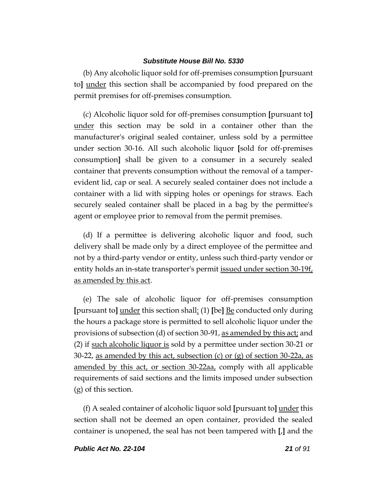(b) Any alcoholic liquor sold for off-premises consumption **[**pursuant to**]** under this section shall be accompanied by food prepared on the permit premises for off-premises consumption.

(c) Alcoholic liquor sold for off-premises consumption **[**pursuant to**]** under this section may be sold in a container other than the manufacturer's original sealed container, unless sold by a permittee under section 30-16. All such alcoholic liquor **[**sold for off-premises consumption**]** shall be given to a consumer in a securely sealed container that prevents consumption without the removal of a tamperevident lid, cap or seal. A securely sealed container does not include a container with a lid with sipping holes or openings for straws. Each securely sealed container shall be placed in a bag by the permittee's agent or employee prior to removal from the permit premises.

(d) If a permittee is delivering alcoholic liquor and food, such delivery shall be made only by a direct employee of the permittee and not by a third-party vendor or entity, unless such third-party vendor or entity holds an in-state transporter's permit <u>issued under section 30-19f</u> as amended by this act.

(e) The sale of alcoholic liquor for off-premises consumption **[**pursuant to**]** under this section shall: (1) **[**be**]** Be conducted only during the hours a package store is permitted to sell alcoholic liquor under the provisions of subsection (d) of section 30-91, as amended by this act; and (2) if such alcoholic liquor is sold by a permittee under section 30-21 or 30-22, as amended by this act, subsection  $(c)$  or  $(g)$  of section 30-22a, as amended by this act, or section 30-22aa, comply with all applicable requirements of said sections and the limits imposed under subsection (g) of this section.

(f) A sealed container of alcoholic liquor sold **[**pursuant to**]** under this section shall not be deemed an open container, provided the sealed container is unopened, the seal has not been tampered with **[**,**]** and the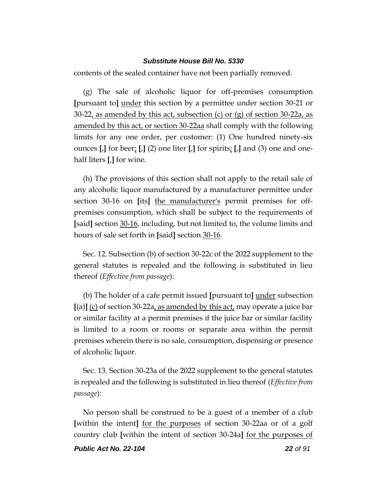contents of the sealed container have not been partially removed.

(g) The sale of alcoholic liquor for off-premises consumption **[**pursuant to**]** under this section by a permittee under section 30-21 or 30-22, as amended by this act, subsection (c) or (g) of section 30-22a, as amended by this act, or section 30-22aa shall comply with the following limits for any one order, per customer: (1) One hundred ninety-six ounces **[**,**]** for beer; **[**,**]** (2) one liter **[**,**]** for spirits; **[**,**]** and (3) one and onehalf liters **[**,**]** for wine.

(h) The provisions of this section shall not apply to the retail sale of any alcoholic liquor manufactured by a manufacturer permittee under section 30-16 on **[**its**]** the manufacturer's permit premises for offpremises consumption, which shall be subject to the requirements of **[**said**]** section 30-16, including, but not limited to, the volume limits and hours of sale set forth in **[**said**]** section 30-16.

Sec. 12. Subsection (b) of section 30-22c of the 2022 supplement to the general statutes is repealed and the following is substituted in lieu thereof (*Effective from passage*):

(b) The holder of a cafe permit issued **[**pursuant to**]** under subsection **[**(a)**]** (c) of section 30-22a, as amended by this act, may operate a juice bar or similar facility at a permit premises if the juice bar or similar facility is limited to a room or rooms or separate area within the permit premises wherein there is no sale, consumption, dispensing or presence of alcoholic liquor.

Sec. 13. Section 30-23a of the 2022 supplement to the general statutes is repealed and the following is substituted in lieu thereof (*Effective from passage*):

No person shall be construed to be a guest of a member of a club **[**within the intent**]** for the purposes of section 30-22aa or of a golf country club **[**within the intent of section 30-24a**]** for the purposes of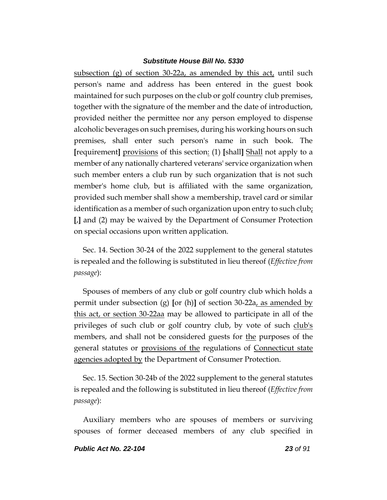subsection (g) of section 30-22a, as amended by this act, until such person's name and address has been entered in the guest book maintained for such purposes on the club or golf country club premises, together with the signature of the member and the date of introduction, provided neither the permittee nor any person employed to dispense alcoholic beverages on such premises, during his working hours on such premises, shall enter such person's name in such book. The **[**requirement**]** provisions of this section: (1) **[**shall**]** Shall not apply to a member of any nationally chartered veterans' service organization when such member enters a club run by such organization that is not such member's home club, but is affiliated with the same organization, provided such member shall show a membership, travel card or similar identification as a member of such organization upon entry to such club<sub>i</sub> **[**,**]** and (2) may be waived by the Department of Consumer Protection on special occasions upon written application.

Sec. 14. Section 30-24 of the 2022 supplement to the general statutes is repealed and the following is substituted in lieu thereof (*Effective from passage*):

Spouses of members of any club or golf country club which holds a permit under subsection (g) **[**or (h)**]** of section 30-22a, as amended by this act, or section 30-22aa may be allowed to participate in all of the privileges of such club or golf country club, by vote of such club's members, and shall not be considered guests for the purposes of the general statutes or provisions of the regulations of Connecticut state agencies adopted by the Department of Consumer Protection.

Sec. 15. Section 30-24b of the 2022 supplement to the general statutes is repealed and the following is substituted in lieu thereof (*Effective from passage*):

Auxiliary members who are spouses of members or surviving spouses of former deceased members of any club specified in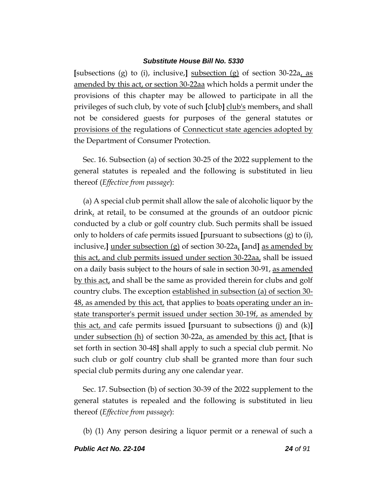**[**subsections (g) to (i), inclusive,**]** subsection (g) of section 30-22a, as amended by this act, or section 30-22aa which holds a permit under the provisions of this chapter may be allowed to participate in all the privileges of such club, by vote of such **[**club**]** club's members, and shall not be considered guests for purposes of the general statutes or provisions of the regulations of Connecticut state agencies adopted by the Department of Consumer Protection.

Sec. 16. Subsection (a) of section 30-25 of the 2022 supplement to the general statutes is repealed and the following is substituted in lieu thereof (*Effective from passage*):

(a) A special club permit shall allow the sale of alcoholic liquor by the drink, at retail, to be consumed at the grounds of an outdoor picnic conducted by a club or golf country club. Such permits shall be issued only to holders of cafe permits issued **[**pursuant to subsections (g) to (i), inclusive,**]** under subsection (g) of section 30-22a, **[**and**]** as amended by this act, and club permits issued under section 30-22aa, shall be issued on a daily basis subject to the hours of sale in section 30-91, as amended by this act, and shall be the same as provided therein for clubs and golf country clubs. The exception established in subsection (a) of section 30- 48, as amended by this act, that applies to boats operating under an instate transporter's permit issued under section 30-19f, as amended by this act, and cafe permits issued **[**pursuant to subsections (j) and (k)**]** under subsection (h) of section 30-22a, as amended by this act, **[**that is set forth in section 30-48**]** shall apply to such a special club permit. No such club or golf country club shall be granted more than four such special club permits during any one calendar year.

Sec. 17. Subsection (b) of section 30-39 of the 2022 supplement to the general statutes is repealed and the following is substituted in lieu thereof (*Effective from passage*):

(b) (1) Any person desiring a liquor permit or a renewal of such a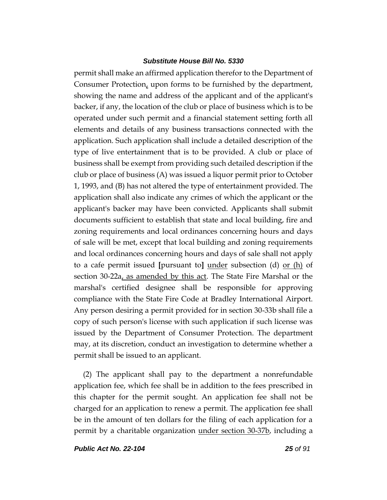permit shall make an affirmed application therefor to the Department of Consumer Protection, upon forms to be furnished by the department, showing the name and address of the applicant and of the applicant's backer, if any, the location of the club or place of business which is to be operated under such permit and a financial statement setting forth all elements and details of any business transactions connected with the application. Such application shall include a detailed description of the type of live entertainment that is to be provided. A club or place of business shall be exempt from providing such detailed description if the club or place of business (A) was issued a liquor permit prior to October 1, 1993, and (B) has not altered the type of entertainment provided. The application shall also indicate any crimes of which the applicant or the applicant's backer may have been convicted. Applicants shall submit documents sufficient to establish that state and local building, fire and zoning requirements and local ordinances concerning hours and days of sale will be met, except that local building and zoning requirements and local ordinances concerning hours and days of sale shall not apply to a cafe permit issued **[**pursuant to**]** under subsection (d) or (h) of section 30-22a<sub>L</sub> as amended by this act. The State Fire Marshal or the marshal's certified designee shall be responsible for approving compliance with the State Fire Code at Bradley International Airport. Any person desiring a permit provided for in section 30-33b shall file a copy of such person's license with such application if such license was issued by the Department of Consumer Protection. The department may, at its discretion, conduct an investigation to determine whether a permit shall be issued to an applicant.

(2) The applicant shall pay to the department a nonrefundable application fee, which fee shall be in addition to the fees prescribed in this chapter for the permit sought. An application fee shall not be charged for an application to renew a permit. The application fee shall be in the amount of ten dollars for the filing of each application for a permit by a charitable organization under section 30-37b, including a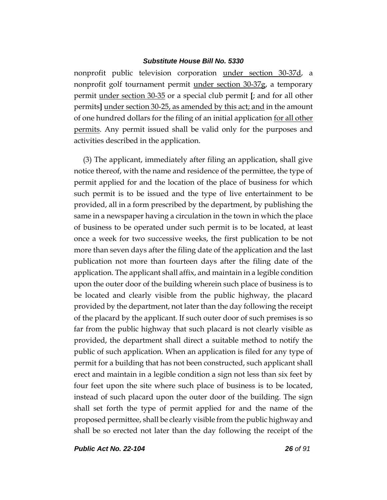nonprofit public television corporation under section 30-37d, a nonprofit golf tournament permit under section 30-37g, a temporary permit under section 30-35 or a special club permit **[**; and for all other permits**]** under section 30-25, as amended by this act; and in the amount of one hundred dollars for the filing of an initial application for all other permits. Any permit issued shall be valid only for the purposes and activities described in the application.

(3) The applicant, immediately after filing an application, shall give notice thereof, with the name and residence of the permittee, the type of permit applied for and the location of the place of business for which such permit is to be issued and the type of live entertainment to be provided, all in a form prescribed by the department, by publishing the same in a newspaper having a circulation in the town in which the place of business to be operated under such permit is to be located, at least once a week for two successive weeks, the first publication to be not more than seven days after the filing date of the application and the last publication not more than fourteen days after the filing date of the application. The applicant shall affix, and maintain in a legible condition upon the outer door of the building wherein such place of business is to be located and clearly visible from the public highway, the placard provided by the department, not later than the day following the receipt of the placard by the applicant. If such outer door of such premises is so far from the public highway that such placard is not clearly visible as provided, the department shall direct a suitable method to notify the public of such application. When an application is filed for any type of permit for a building that has not been constructed, such applicant shall erect and maintain in a legible condition a sign not less than six feet by four feet upon the site where such place of business is to be located, instead of such placard upon the outer door of the building. The sign shall set forth the type of permit applied for and the name of the proposed permittee, shall be clearly visible from the public highway and shall be so erected not later than the day following the receipt of the

*Public Act No. 22-104 26 of 91*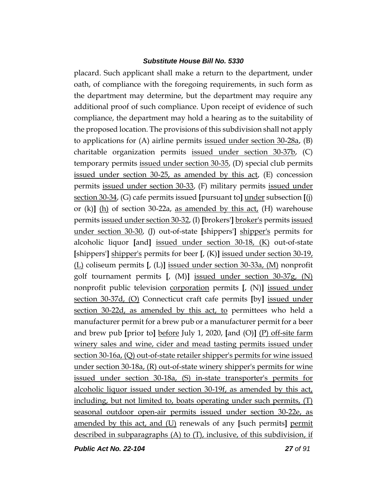placard. Such applicant shall make a return to the department, under oath, of compliance with the foregoing requirements, in such form as the department may determine, but the department may require any additional proof of such compliance. Upon receipt of evidence of such compliance, the department may hold a hearing as to the suitability of the proposed location. The provisions of this subdivision shall not apply to applications for (A) airline permits issued under section 30-28a, (B) charitable organization permits issued under section 30-37b, (C) temporary permits issued under section 30-35, (D) special club permits issued under section 30-25, as amended by this act, (E) concession permits issued under section 30-33, (F) military permits issued under section 30-34, (G) cafe permits issued **[**pursuant to**]** under subsection **[**(j) or (k)**]** (h) of section 30-22a, as amended by this act, (H) warehouse permits issued under section 30-32, (I) **[**brokers'**]** broker's permits issued under section 30-30, (J) out-of-state **[**shippers'**]** shipper's permits for alcoholic liquor **[**and**]** issued under section 30-18, (K) out-of-state **[**shippers'**]** shipper's permits for beer **[**, (K)**]** issued under section 30-19, (L) coliseum permits **[**, (L)**]** issued under section 30-33a, (M) nonprofit golf tournament permits **[**, (M)**]** issued under section 30-37g, (N) nonprofit public television corporation permits **[**, (N)**]** issued under section 30-37d, (O) Connecticut craft cafe permits **[**by**]** issued under section 30-22d, as amended by this act, to permittees who held a manufacturer permit for a brew pub or a manufacturer permit for a beer and brew pub **[**prior to**]** before July 1, 2020, **[**and (O)**]** (P) off-site farm winery sales and wine, cider and mead tasting permits issued under section 30-16a, (Q) out-of-state retailer shipper's permits for wine issued under section 30-18a, (R) out-of-state winery shipper's permits for wine issued under section 30-18a, (S) in-state transporter's permits for alcoholic liquor issued under section 30-19f, as amended by this act, including, but not limited to, boats operating under such permits, (T) seasonal outdoor open-air permits issued under section 30-22e, as amended by this act, and (U) renewals of any **[**such permits**]** permit described in subparagraphs (A) to (T), inclusive, of this subdivision, if

*Public Act No. 22-104 27 of 91*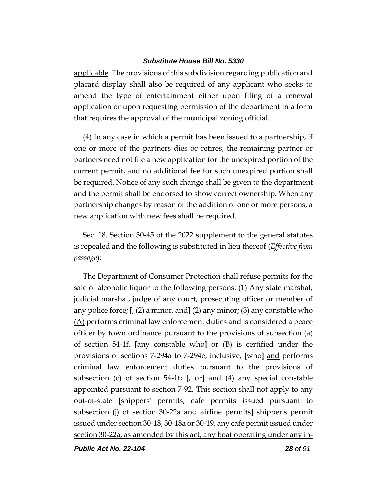applicable. The provisions of this subdivision regarding publication and placard display shall also be required of any applicant who seeks to amend the type of entertainment either upon filing of a renewal application or upon requesting permission of the department in a form that requires the approval of the municipal zoning official.

(4) In any case in which a permit has been issued to a partnership, if one or more of the partners dies or retires, the remaining partner or partners need not file a new application for the unexpired portion of the current permit, and no additional fee for such unexpired portion shall be required. Notice of any such change shall be given to the department and the permit shall be endorsed to show correct ownership. When any partnership changes by reason of the addition of one or more persons, a new application with new fees shall be required.

Sec. 18. Section 30-45 of the 2022 supplement to the general statutes is repealed and the following is substituted in lieu thereof (*Effective from passage*):

The Department of Consumer Protection shall refuse permits for the sale of alcoholic liquor to the following persons: (1) Any state marshal, judicial marshal, judge of any court, prosecuting officer or member of any police force; **[**, (2) a minor, and**]** (2) any minor; (3) any constable who (A) performs criminal law enforcement duties and is considered a peace officer by town ordinance pursuant to the provisions of subsection (a) of section 54-1f, **[**any constable who**]** or (B) is certified under the provisions of sections 7-294a to 7-294e, inclusive, **[**who**]** and performs criminal law enforcement duties pursuant to the provisions of subsection (c) of section 54-1f; **[**, or**]** and (4) any special constable appointed pursuant to section 7-92. This section shall not apply to any out-of-state **[**shippers' permits, cafe permits issued pursuant to subsection (j) of section 30-22a and airline permits**]** shipper's permit issued under section 30-18, 30-18a or 30-19, any cafe permit issued under section 30-22a**,** as amended by this act, any boat operating under any in-

*Public Act No. 22-104 28 of 91*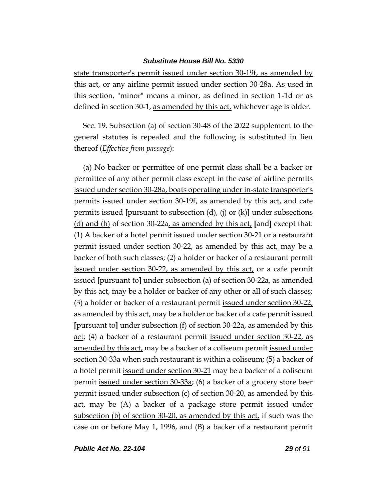state transporter's permit issued under section 30-19f, as amended by this act, or any airline permit issued under section 30-28a. As used in this section, "minor" means a minor, as defined in section 1-1d or as defined in section 30-1, as amended by this act, whichever age is older.

Sec. 19. Subsection (a) of section 30-48 of the 2022 supplement to the general statutes is repealed and the following is substituted in lieu thereof (*Effective from passage*):

(a) No backer or permittee of one permit class shall be a backer or permittee of any other permit class except in the case of airline permits issued under section 30-28a, boats operating under in-state transporter's permits issued under section 30-19f, as amended by this act, and cafe permits issued **[**pursuant to subsection (d), (j) or (k)**]** under subsections (d) and (h) of section 30-22a, as amended by this act, **[**and**]** except that: (1) A backer of a hotel permit issued under section  $30-21$  or a restaurant permit issued under section 30-22, as amended by this act, may be a backer of both such classes; (2) a holder or backer of a restaurant permit issued under section 30-22, as amended by this act, or a cafe permit issued **[**pursuant to**]** under subsection (a) of section 30-22a, as amended by this act, may be a holder or backer of any other or all of such classes; (3) a holder or backer of a restaurant permit issued under section 30-22, as amended by this act, may be a holder or backer of a cafe permit issued **[**pursuant to**]** under subsection (f) of section 30-22a, as amended by this act; (4) a backer of a restaurant permit issued under section 30-22, as amended by this act, may be a backer of a coliseum permit issued under section 30-33a when such restaurant is within a coliseum; (5) a backer of a hotel permit issued under section 30-21 may be a backer of a coliseum permit issued under section 30-33a; (6) a backer of a grocery store beer permit issued under subsection (c) of section 30-20, as amended by this act, may be (A) a backer of a package store permit issued under subsection (b) of section 30-20, as amended by this act, if such was the case on or before May 1, 1996, and (B) a backer of a restaurant permit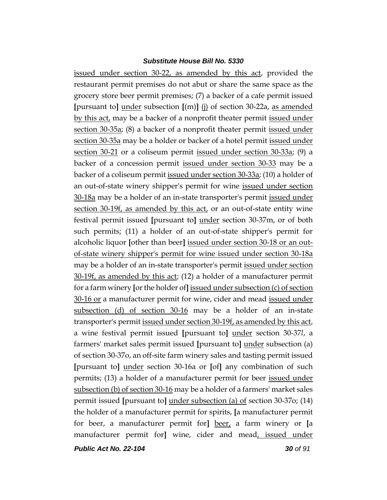issued under section 30-22, as amended by this act, provided the restaurant permit premises do not abut or share the same space as the grocery store beer permit premises; (7) a backer of a cafe permit issued **[**pursuant to**]** under subsection **[**(m)**]** (j) of section 30-22a, as amended by this act, may be a backer of a nonprofit theater permit issued under section 30-35a; (8) a backer of a nonprofit theater permit issued under section 30-35a may be a holder or backer of a hotel permit issued under section 30-21 or a coliseum permit issued under section 30-33a; (9) a backer of a concession permit issued under section 30-33 may be a backer of a coliseum permit issued under section 30-33a; (10) a holder of an out-of-state winery shipper's permit for wine issued under section 30-18a may be a holder of an in-state transporter's permit issued under section 30-19f, as amended by this act, or an out-of-state entity wine festival permit issued **[**pursuant to**]** under section 30-37m, or of both such permits; (11) a holder of an out-of-state shipper's permit for alcoholic liquor **[**other than beer**]** issued under section 30-18 or an outof-state winery shipper's permit for wine issued under section 30-18a may be a holder of an in-state transporter's permit issued under section 30-19f, as amended by this act; (12) a holder of a manufacturer permit for a farm winery **[**or the holder of**]** issued under subsection (c) of section 30-16 or a manufacturer permit for wine, cider and mead issued under subsection (d) of section 30-16 may be a holder of an in-state transporter's permit issued under section 30-19f, as amended by this act, a wine festival permit issued **[**pursuant to**]** under section 30-37*l*, a farmers' market sales permit issued **[**pursuant to**]** under subsection (a) of section 30-37o, an off-site farm winery sales and tasting permit issued **[**pursuant to**]** under section 30-16a or **[**of**]** any combination of such permits; (13) a holder of a manufacturer permit for beer issued under subsection (b) of section 30-16 may be a holder of a farmers' market sales permit issued **[**pursuant to**]** under subsection (a) of section 30-37o; (14) the holder of a manufacturer permit for spirits, **[**a manufacturer permit for beer, a manufacturer permit for**]** beer, a farm winery or **[**a manufacturer permit for**]** wine, cider and mead, issued under

*Public Act No. 22-104 30 of 91*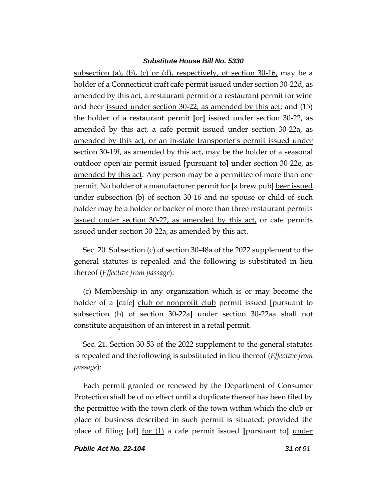subsection (a), (b), (c) or (d), respectively, of section 30-16, may be a holder of a Connecticut craft cafe permit issued under section 30-22d, as amended by this act, a restaurant permit or a restaurant permit for wine and beer <u>issued under section 30-22</u>, as amended by this act; and (15) the holder of a restaurant permit **[**or**]** issued under section 30-22, as amended by this act, a cafe permit issued under section 30-22a, as amended by this act, or an in-state transporter's permit issued under section 30-19f, as amended by this act, may be the holder of a seasonal outdoor open-air permit issued **[**pursuant to**]** under section 30-22e, as amended by this act. Any person may be a permittee of more than one permit. No holder of a manufacturer permit for **[**a brew pub**]** beer issued under subsection (b) of section 30-16 and no spouse or child of such holder may be a holder or backer of more than three restaurant permits issued under section 30-22, as amended by this act, or cafe permits issued under section 30-22a, as amended by this act.

Sec. 20. Subsection (c) of section 30-48a of the 2022 supplement to the general statutes is repealed and the following is substituted in lieu thereof (*Effective from passage*):

(c) Membership in any organization which is or may become the holder of a **[**cafe**]** club or nonprofit club permit issued **[**pursuant to subsection (h) of section 30-22a**]** under section 30-22aa shall not constitute acquisition of an interest in a retail permit.

Sec. 21. Section 30-53 of the 2022 supplement to the general statutes is repealed and the following is substituted in lieu thereof (*Effective from passage*):

Each permit granted or renewed by the Department of Consumer Protection shall be of no effect until a duplicate thereof has been filed by the permittee with the town clerk of the town within which the club or place of business described in such permit is situated; provided the place of filing **[**of**]** for (1) a cafe permit issued **[**pursuant to**]** under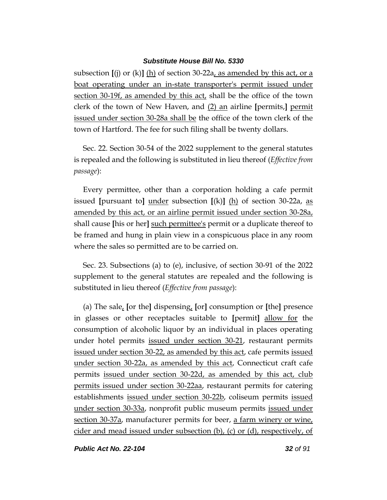subsection **[**(j) or (k)**]** (h) of section 30-22a, as amended by this act, or a boat operating under an in-state transporter's permit issued under section 30-19f, as amended by this act, shall be the office of the town clerk of the town of New Haven, and (2) an airline **[**permits,**]** permit issued under section 30-28a shall be the office of the town clerk of the town of Hartford. The fee for such filing shall be twenty dollars.

Sec. 22. Section 30-54 of the 2022 supplement to the general statutes is repealed and the following is substituted in lieu thereof (*Effective from passage*):

Every permittee, other than a corporation holding a cafe permit issued **[**pursuant to**]** under subsection **[**(k)**]** (h) of section 30-22a, as amended by this act, or an airline permit issued under section 30-28a, shall cause **[**his or her**]** such permittee's permit or a duplicate thereof to be framed and hung in plain view in a conspicuous place in any room where the sales so permitted are to be carried on.

Sec. 23. Subsections (a) to (e), inclusive, of section 30-91 of the 2022 supplement to the general statutes are repealed and the following is substituted in lieu thereof (*Effective from passage*):

(a) The sale, **[**or the**]** dispensing, **[**or**]** consumption or **[**the**]** presence in glasses or other receptacles suitable to **[**permit**]** allow for the consumption of alcoholic liquor by an individual in places operating under hotel permits issued under section 30-21, restaurant permits issued under section 30-22, as amended by this act, cafe permits issued under section 30-22a, as amended by this act, Connecticut craft cafe permits issued under section 30-22d, as amended by this act, club permits issued under section 30-22aa, restaurant permits for catering establishments issued under section 30-22b, coliseum permits issued under section 30-33a, nonprofit public museum permits issued under section 30-37a, manufacturer permits for beer, a farm winery or wine, cider and mead issued under subsection (b), (c) or (d), respectively, of

*Public Act No. 22-104 32 of 91*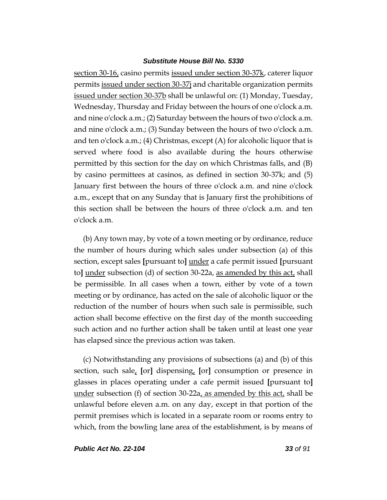section 30-16, casino permits issued under section 30-37k, caterer liquor permits issued under section 30-37j and charitable organization permits issued under section 30-37b shall be unlawful on: (1) Monday, Tuesday, Wednesday, Thursday and Friday between the hours of one o'clock a.m. and nine o'clock a.m.; (2) Saturday between the hours of two o'clock a.m. and nine o'clock a.m.; (3) Sunday between the hours of two o'clock a.m. and ten o'clock a.m.; (4) Christmas, except (A) for alcoholic liquor that is served where food is also available during the hours otherwise permitted by this section for the day on which Christmas falls, and (B) by casino permittees at casinos, as defined in section 30-37k; and (5) January first between the hours of three o'clock a.m. and nine o'clock a.m., except that on any Sunday that is January first the prohibitions of this section shall be between the hours of three o'clock a.m. and ten o'clock a.m.

(b) Any town may, by vote of a town meeting or by ordinance, reduce the number of hours during which sales under subsection (a) of this section, except sales **[**pursuant to**]** under a cafe permit issued **[**pursuant to**]** under subsection (d) of section 30-22a, as amended by this act, shall be permissible. In all cases when a town, either by vote of a town meeting or by ordinance, has acted on the sale of alcoholic liquor or the reduction of the number of hours when such sale is permissible, such action shall become effective on the first day of the month succeeding such action and no further action shall be taken until at least one year has elapsed since the previous action was taken.

(c) Notwithstanding any provisions of subsections (a) and (b) of this section, such sale, **[**or**]** dispensing, **[**or**]** consumption or presence in glasses in places operating under a cafe permit issued **[**pursuant to**]** under subsection (f) of section 30-22 $a<sub>L</sub>$  as amended by this act, shall be unlawful before eleven a.m. on any day, except in that portion of the permit premises which is located in a separate room or rooms entry to which, from the bowling lane area of the establishment, is by means of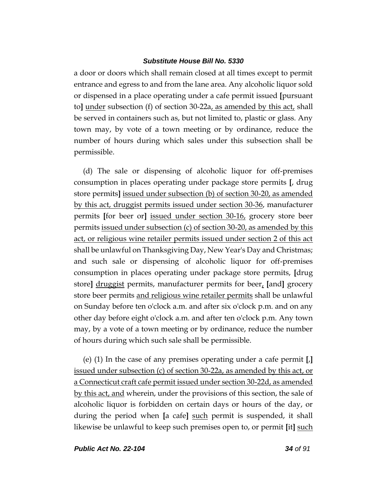a door or doors which shall remain closed at all times except to permit entrance and egress to and from the lane area. Any alcoholic liquor sold or dispensed in a place operating under a cafe permit issued **[**pursuant to**]** under subsection (f) of section 30-22a, as amended by this act, shall be served in containers such as, but not limited to, plastic or glass. Any town may, by vote of a town meeting or by ordinance, reduce the number of hours during which sales under this subsection shall be permissible.

(d) The sale or dispensing of alcoholic liquor for off-premises consumption in places operating under package store permits **[**, drug store permits**]** issued under subsection (b) of section 30-20, as amended by this act, druggist permits issued under section 30-36, manufacturer permits **[**for beer or**]** issued under section 30-16, grocery store beer permits issued under subsection (c) of section 30-20, as amended by this act, or religious wine retailer permits issued under section 2 of this act shall be unlawful on Thanksgiving Day, New Year's Day and Christmas; and such sale or dispensing of alcoholic liquor for off-premises consumption in places operating under package store permits, **[**drug store**]** druggist permits, manufacturer permits for beer, **[**and**]** grocery store beer permits and religious wine retailer permits shall be unlawful on Sunday before ten o'clock a.m. and after six o'clock p.m. and on any other day before eight o'clock a.m. and after ten o'clock p.m. Any town may, by a vote of a town meeting or by ordinance, reduce the number of hours during which such sale shall be permissible.

(e) (1) In the case of any premises operating under a cafe permit **[**,**]**  issued under subsection (c) of section 30-22a, as amended by this act, or a Connecticut craft cafe permit issued under section 30-22d, as amended by this act, and wherein, under the provisions of this section, the sale of alcoholic liquor is forbidden on certain days or hours of the day, or during the period when **[**a cafe**]** such permit is suspended, it shall likewise be unlawful to keep such premises open to, or permit **[**it**]** such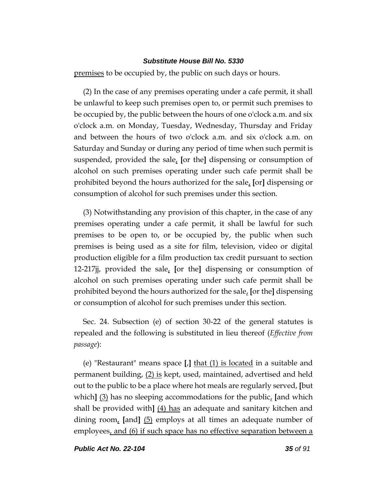premises to be occupied by, the public on such days or hours.

(2) In the case of any premises operating under a cafe permit, it shall be unlawful to keep such premises open to, or permit such premises to be occupied by, the public between the hours of one o'clock a.m. and six o'clock a.m. on Monday, Tuesday, Wednesday, Thursday and Friday and between the hours of two o'clock a.m. and six o'clock a.m. on Saturday and Sunday or during any period of time when such permit is suspended, provided the sale, **[**or the**]** dispensing or consumption of alcohol on such premises operating under such cafe permit shall be prohibited beyond the hours authorized for the sale, **[**or**]** dispensing or consumption of alcohol for such premises under this section.

(3) Notwithstanding any provision of this chapter, in the case of any premises operating under a cafe permit, it shall be lawful for such premises to be open to, or be occupied by, the public when such premises is being used as a site for film, television, video or digital production eligible for a film production tax credit pursuant to section 12-217jj, provided the sale, **[**or the**]** dispensing or consumption of alcohol on such premises operating under such cafe permit shall be prohibited beyond the hours authorized for the sale, **[**or the**]** dispensing or consumption of alcohol for such premises under this section.

Sec. 24. Subsection (e) of section 30-22 of the general statutes is repealed and the following is substituted in lieu thereof (*Effective from passage*):

(e) "Restaurant" means space **[**,**]** that (1) is located in a suitable and permanent building, (2) is kept, used, maintained, advertised and held out to the public to be a place where hot meals are regularly served, **[**but which**]** (3) has no sleeping accommodations for the public, **[**and which shall be provided with**]** (4) has an adequate and sanitary kitchen and dining room, **[**and**]** (5) employs at all times an adequate number of employees, and (6) if such space has no effective separation between a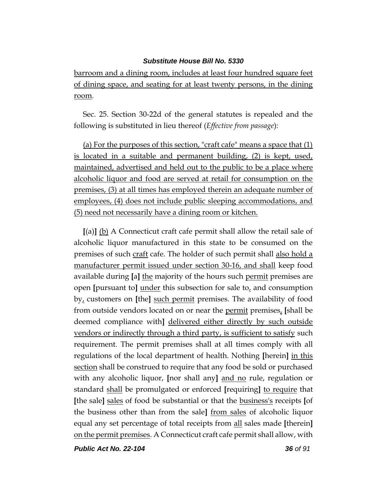barroom and a dining room, includes at least four hundred square feet of dining space, and seating for at least twenty persons, in the dining room.

Sec. 25. Section 30-22d of the general statutes is repealed and the following is substituted in lieu thereof (*Effective from passage*):

(a) For the purposes of this section, "craft cafe" means a space that (1) is located in a suitable and permanent building, (2) is kept, used, maintained, advertised and held out to the public to be a place where alcoholic liquor and food are served at retail for consumption on the premises, (3) at all times has employed therein an adequate number of employees, (4) does not include public sleeping accommodations, and (5) need not necessarily have a dining room or kitchen.

**[**(a)**]** (b) A Connecticut craft cafe permit shall allow the retail sale of alcoholic liquor manufactured in this state to be consumed on the premises of such craft cafe. The holder of such permit shall also hold a manufacturer permit issued under section 30-16, and shall keep food available during **[**a**]** the majority of the hours such permit premises are open **[**pursuant to**]** under this subsection for sale to, and consumption by, customers on **[**the**]** such permit premises. The availability of food from outside vendors located on or near the permit premises, **[**shall be deemed compliance with**]** delivered either directly by such outside vendors or indirectly through a third party, is sufficient to satisfy such requirement. The permit premises shall at all times comply with all regulations of the local department of health. Nothing **[**herein**]** in this section shall be construed to require that any food be sold or purchased with any alcoholic liquor, **[**nor shall any**]** and no rule, regulation or standard shall be promulgated or enforced **[**requiring**]** to require that **[**the sale**]** sales of food be substantial or that the business's receipts **[**of the business other than from the sale**]** from sales of alcoholic liquor equal any set percentage of total receipts from all sales made **[**therein**]** on the permit premises. A Connecticut craft cafe permit shall allow, with

*Public Act No. 22-104 36 of 91*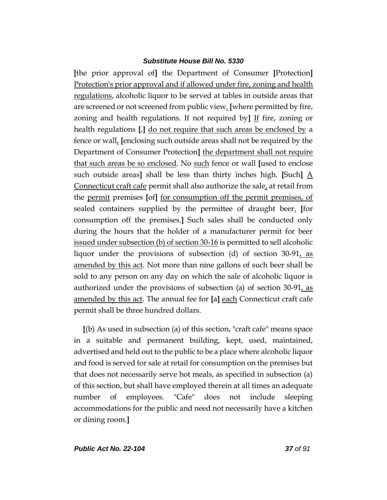**[**the prior approval of**]** the Department of Consumer **[**Protection**]** Protection's prior approval and if allowed under fire, zoning and health regulations, alcoholic liquor to be served at tables in outside areas that are screened or not screened from public view. **[**where permitted by fire, zoning and health regulations. If not required by**]** If fire, zoning or health regulations **[**,**]** do not require that such areas be enclosed by a fence or wall, **[**enclosing such outside areas shall not be required by the Department of Consumer Protection**]** the department shall not require that such areas be so enclosed. No such fence or wall **[**used to enclose such outside areas**]** shall be less than thirty inches high. **[**Such**]** A Connecticut craft cafe permit shall also authorize the sale, at retail from the permit premises **[**of**]** for consumption off the permit premises, of sealed containers supplied by the permittee of draught beer. **[**for consumption off the premises.**]** Such sales shall be conducted only during the hours that the holder of a manufacturer permit for beer issued under subsection (b) of section 30-16 is permitted to sell alcoholic liquor under the provisions of subsection (d) of section 30-91, as amended by this act. Not more than nine gallons of such beer shall be sold to any person on any day on which the sale of alcoholic liquor is authorized under the provisions of subsection (a) of section 30-91, as amended by this act. The annual fee for **[**a**]** each Connecticut craft cafe permit shall be three hundred dollars.

**[**(b) As used in subsection (a) of this section, "craft cafe" means space in a suitable and permanent building, kept, used, maintained, advertised and held out to the public to be a place where alcoholic liquor and food is served for sale at retail for consumption on the premises but that does not necessarily serve hot meals, as specified in subsection (a) of this section, but shall have employed therein at all times an adequate number of employees. "Cafe" does not include sleeping accommodations for the public and need not necessarily have a kitchen or dining room.**]**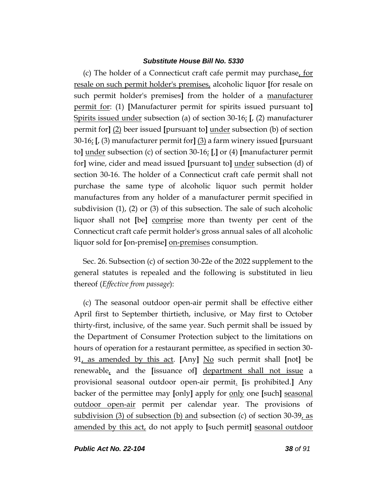(c) The holder of a Connecticut craft cafe permit may purchase, for resale on such permit holder's premises, alcoholic liquor **[**for resale on such permit holder's premises**]** from the holder of a manufacturer permit for: (1) **[**Manufacturer permit for spirits issued pursuant to**]** Spirits issued under subsection (a) of section 30-16; **[**, (2) manufacturer permit for**]** (2) beer issued **[**pursuant to**]** under subsection (b) of section 30-16; **[**, (3) manufacturer permit for**]** (3) a farm winery issued **[**pursuant to**]** under subsection (c) of section 30-16; **[**,**]** or (4) **[**manufacturer permit for**]** wine, cider and mead issued **[**pursuant to**]** under subsection (d) of section 30-16. The holder of a Connecticut craft cafe permit shall not purchase the same type of alcoholic liquor such permit holder manufactures from any holder of a manufacturer permit specified in subdivision (1), (2) or (3) of this subsection. The sale of such alcoholic liquor shall not **[**be**]** comprise more than twenty per cent of the Connecticut craft cafe permit holder's gross annual sales of all alcoholic liquor sold for **[**on-premise**]** on-premises consumption.

Sec. 26. Subsection (c) of section 30-22e of the 2022 supplement to the general statutes is repealed and the following is substituted in lieu thereof (*Effective from passage*):

(c) The seasonal outdoor open-air permit shall be effective either April first to September thirtieth, inclusive, or May first to October thirty-first, inclusive, of the same year. Such permit shall be issued by the Department of Consumer Protection subject to the limitations on hours of operation for a restaurant permittee, as specified in section 30- 91, as amended by this act. **[**Any**]** No such permit shall **[**not**]** be renewable, and the **[**issuance of**]** department shall not issue a provisional seasonal outdoor open-air permit. **[**is prohibited.**]** Any backer of the permittee may **[**only**]** apply for only one **[**such**]** seasonal outdoor open-air permit per calendar year. The provisions of subdivision (3) of subsection (b) and subsection (c) of section 30-39, as amended by this act, do not apply to **[**such permit**]** seasonal outdoor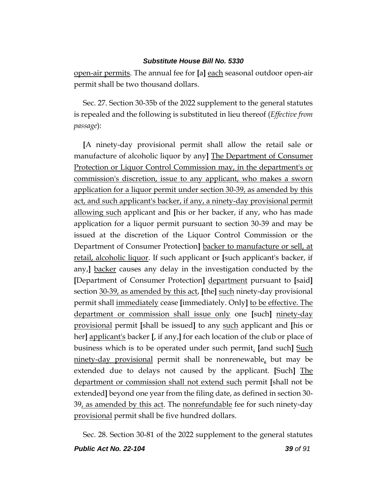open-air permits. The annual fee for **[**a**]** each seasonal outdoor open-air permit shall be two thousand dollars.

Sec. 27. Section 30-35b of the 2022 supplement to the general statutes is repealed and the following is substituted in lieu thereof (*Effective from passage*):

**[**A ninety-day provisional permit shall allow the retail sale or manufacture of alcoholic liquor by any**]** The Department of Consumer Protection or Liquor Control Commission may, in the department's or commission's discretion, issue to any applicant, who makes a sworn application for a liquor permit under section 30-39, as amended by this act, and such applicant's backer, if any, a ninety-day provisional permit allowing such applicant and **[**his or her backer, if any, who has made application for a liquor permit pursuant to section 30-39 and may be issued at the discretion of the Liquor Control Commission or the Department of Consumer Protection**]** backer to manufacture or sell, at retail, alcoholic liquor. If such applicant or **[**such applicant's backer, if any,**]** backer causes any delay in the investigation conducted by the **[**Department of Consumer Protection**]** department pursuant to **[**said**]** section 30-39, as amended by this act, **[**the**]** such ninety-day provisional permit shall immediately cease **[**immediately. Only**]** to be effective. The department or commission shall issue only one **[**such**]** ninety-day provisional permit **[**shall be issued**]** to any such applicant and **[**his or her**]** applicant's backer **[**, if any,**]** for each location of the club or place of business which is to be operated under such permit. **[**and such**]** Such ninety-day provisional permit shall be nonrenewable, but may be extended due to delays not caused by the applicant. **[**Such**]** The department or commission shall not extend such permit **[**shall not be extended**]** beyond one year from the filing date, as defined in section 30- 39, as amended by this act. The nonrefundable fee for such ninety-day provisional permit shall be five hundred dollars.

Sec. 28. Section 30-81 of the 2022 supplement to the general statutes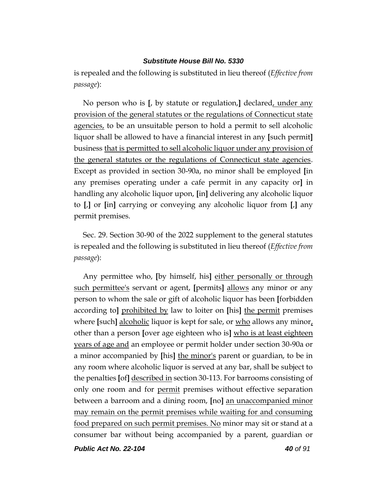is repealed and the following is substituted in lieu thereof (*Effective from passage*):

No person who is **[**, by statute or regulation,**]** declared, under any provision of the general statutes or the regulations of Connecticut state agencies, to be an unsuitable person to hold a permit to sell alcoholic liquor shall be allowed to have a financial interest in any **[**such permit**]** business that is permitted to sell alcoholic liquor under any provision of the general statutes or the regulations of Connecticut state agencies. Except as provided in section 30-90a, no minor shall be employed **[**in any premises operating under a cafe permit in any capacity or**]** in handling any alcoholic liquor upon, **[**in**]** delivering any alcoholic liquor to **[**,**]** or **[**in**]** carrying or conveying any alcoholic liquor from **[**,**]** any permit premises.

Sec. 29. Section 30-90 of the 2022 supplement to the general statutes is repealed and the following is substituted in lieu thereof (*Effective from passage*):

Any permittee who, **[**by himself, his**]** either personally or through such permittee's servant or agent, **[**permits**]** allows any minor or any person to whom the sale or gift of alcoholic liquor has been **[**forbidden according to**]** prohibited by law to loiter on **[**his**]** the permit premises where **[such]** alcoholic liquor is kept for sale, or who allows any minor, other than a person **[**over age eighteen who is**]** who is at least eighteen years of age and an employee or permit holder under section 30-90a or a minor accompanied by **[**his**]** the minor's parent or guardian, to be in any room where alcoholic liquor is served at any bar, shall be subject to the penalties **[**of**]** described in section 30-113. For barrooms consisting of only one room and for permit premises without effective separation between a barroom and a dining room, **[**no**]** an unaccompanied minor may remain on the permit premises while waiting for and consuming food prepared on such permit premises. No minor may sit or stand at a consumer bar without being accompanied by a parent, guardian or

*Public Act No. 22-104 40 of 91*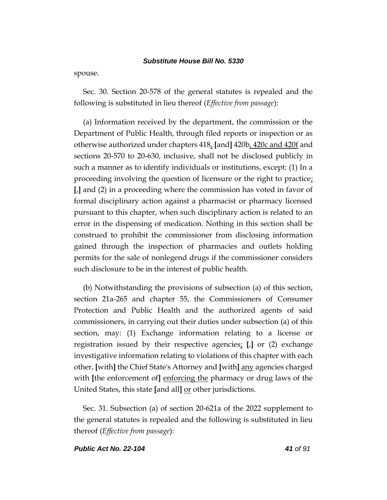spouse.

Sec. 30. Section 20-578 of the general statutes is repealed and the following is substituted in lieu thereof (*Effective from passage*):

(a) Information received by the department, the commission or the Department of Public Health, through filed reports or inspection or as otherwise authorized under chapters 418, **[**and**]** 420b, 420c and 420f and sections 20-570 to 20-630, inclusive, shall not be disclosed publicly in such a manner as to identify individuals or institutions, except: (1) In a proceeding involving the question of licensure or the right to practice; **[**,**]** and (2) in a proceeding where the commission has voted in favor of formal disciplinary action against a pharmacist or pharmacy licensed pursuant to this chapter, when such disciplinary action is related to an error in the dispensing of medication. Nothing in this section shall be construed to prohibit the commissioner from disclosing information gained through the inspection of pharmacies and outlets holding permits for the sale of nonlegend drugs if the commissioner considers such disclosure to be in the interest of public health.

(b) Notwithstanding the provisions of subsection (a) of this section, section 21a-265 and chapter 55, the Commissioners of Consumer Protection and Public Health and the authorized agents of said commissioners, in carrying out their duties under subsection (a) of this section, may: (1) Exchange information relating to a license or registration issued by their respective agencies; **[**,**]** or (2) exchange investigative information relating to violations of this chapter with each other, **[**with**]** the Chief State's Attorney and **[**with**]** any agencies charged with **[**the enforcement of**]** enforcing the pharmacy or drug laws of the United States, this state **[**and all**]** or other jurisdictions.

Sec. 31. Subsection (a) of section 20-621a of the 2022 supplement to the general statutes is repealed and the following is substituted in lieu thereof (*Effective from passage*):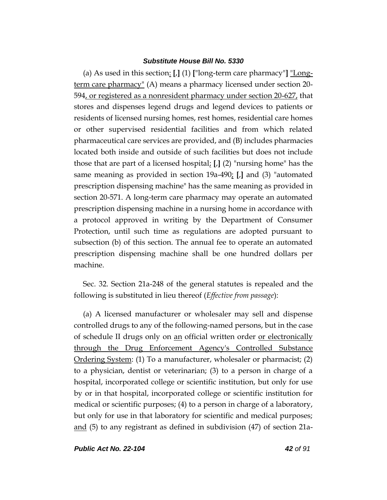(a) As used in this section: **[**,**]** (1) **[**"long-term care pharmacy"**]** "Longterm care pharmacy" (A) means a pharmacy licensed under section 20- 594, or registered as a nonresident pharmacy under section 20-627, that stores and dispenses legend drugs and legend devices to patients or residents of licensed nursing homes, rest homes, residential care homes or other supervised residential facilities and from which related pharmaceutical care services are provided, and (B) includes pharmacies located both inside and outside of such facilities but does not include those that are part of a licensed hospital; **[**,**]** (2) "nursing home" has the same meaning as provided in section 19a-490; **[**,**]** and (3) "automated prescription dispensing machine" has the same meaning as provided in section 20-571. A long-term care pharmacy may operate an automated prescription dispensing machine in a nursing home in accordance with a protocol approved in writing by the Department of Consumer Protection, until such time as regulations are adopted pursuant to subsection (b) of this section. The annual fee to operate an automated prescription dispensing machine shall be one hundred dollars per machine.

Sec. 32. Section 21a-248 of the general statutes is repealed and the following is substituted in lieu thereof (*Effective from passage*):

(a) A licensed manufacturer or wholesaler may sell and dispense controlled drugs to any of the following-named persons, but in the case of schedule II drugs only on an official written order or electronically through the Drug Enforcement Agency's Controlled Substance Ordering System: (1) To a manufacturer, wholesaler or pharmacist; (2) to a physician, dentist or veterinarian; (3) to a person in charge of a hospital, incorporated college or scientific institution, but only for use by or in that hospital, incorporated college or scientific institution for medical or scientific purposes; (4) to a person in charge of a laboratory, but only for use in that laboratory for scientific and medical purposes; and (5) to any registrant as defined in subdivision (47) of section 21a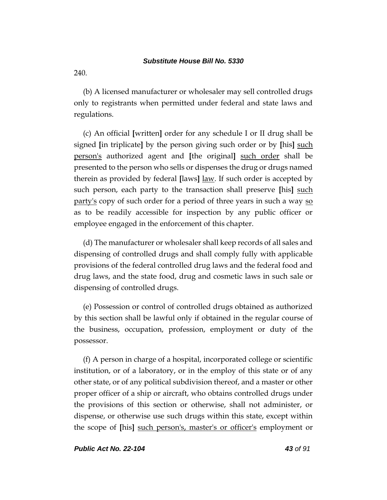240.

(b) A licensed manufacturer or wholesaler may sell controlled drugs only to registrants when permitted under federal and state laws and regulations.

(c) An official **[**written**]** order for any schedule I or II drug shall be signed **[**in triplicate**]** by the person giving such order or by **[**his**]** such person's authorized agent and **[**the original**]** such order shall be presented to the person who sells or dispenses the drug or drugs named therein as provided by federal **[**laws**]** law. If such order is accepted by such person, each party to the transaction shall preserve **[**his**]** such party's copy of such order for a period of three years in such a way so as to be readily accessible for inspection by any public officer or employee engaged in the enforcement of this chapter.

(d) The manufacturer or wholesaler shall keep records of all sales and dispensing of controlled drugs and shall comply fully with applicable provisions of the federal controlled drug laws and the federal food and drug laws, and the state food, drug and cosmetic laws in such sale or dispensing of controlled drugs.

(e) Possession or control of controlled drugs obtained as authorized by this section shall be lawful only if obtained in the regular course of the business, occupation, profession, employment or duty of the possessor.

(f) A person in charge of a hospital, incorporated college or scientific institution, or of a laboratory, or in the employ of this state or of any other state, or of any political subdivision thereof, and a master or other proper officer of a ship or aircraft, who obtains controlled drugs under the provisions of this section or otherwise, shall not administer, or dispense, or otherwise use such drugs within this state, except within the scope of **[**his**]** such person's, master's or officer's employment or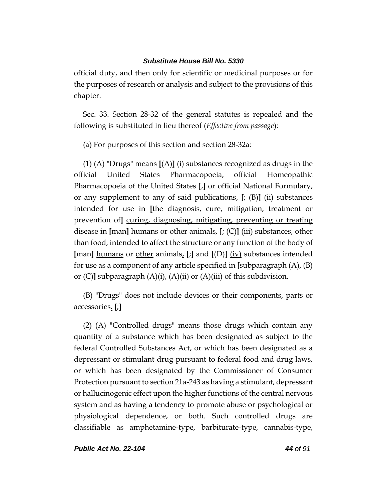official duty, and then only for scientific or medicinal purposes or for the purposes of research or analysis and subject to the provisions of this chapter.

Sec. 33. Section 28-32 of the general statutes is repealed and the following is substituted in lieu thereof (*Effective from passage*):

(a) For purposes of this section and section 28-32a:

(1) (A) "Drugs" means **[**(A)**]** (i) substances recognized as drugs in the official United States Pharmacopoeia, official Homeopathic Pharmacopoeia of the United States **[**,**]** or official National Formulary, or any supplement to any of said publications, **[**; (B)**]** (ii) substances intended for use in **[**the diagnosis, cure, mitigation, treatment or prevention of**]** curing, diagnosing, mitigating, preventing or treating disease in **[**man**]** humans or other animals, **[**; (C)**]** (iii) substances, other than food, intended to affect the structure or any function of the body of **[**man**]** humans or other animals, **[**;**]** and **[**(D)**]** (iv) substances intended for use as a component of any article specified in **[**subparagraph (A), (B) or  $(C)$ **]** subparagraph  $(A)(i)$ ,  $(A)(ii)$  or  $(A)(iii)$  of this subdivision.

(B) "Drugs" does not include devices or their components, parts or accessories. **[**;**]**

(2) (A) "Controlled drugs" means those drugs which contain any quantity of a substance which has been designated as subject to the federal Controlled Substances Act, or which has been designated as a depressant or stimulant drug pursuant to federal food and drug laws, or which has been designated by the Commissioner of Consumer Protection pursuant to section 21a-243 as having a stimulant, depressant or hallucinogenic effect upon the higher functions of the central nervous system and as having a tendency to promote abuse or psychological or physiological dependence, or both. Such controlled drugs are classifiable as amphetamine-type, barbiturate-type, cannabis-type,

*Public Act No. 22-104 44 of 91*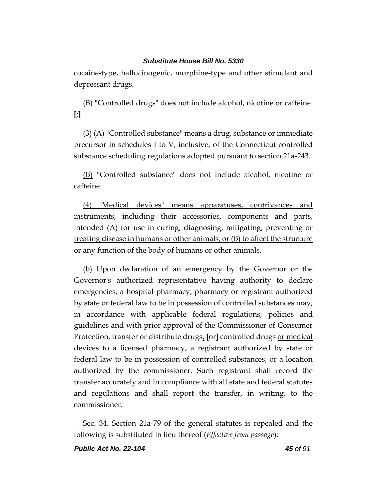cocaine-type, hallucinogenic, morphine-type and other stimulant and depressant drugs.

(B) "Controlled drugs" does not include alcohol, nicotine or caffeine. **[**;**]**

 $(3)$  (A) "Controlled substance" means a drug, substance or immediate precursor in schedules I to V, inclusive, of the Connecticut controlled substance scheduling regulations adopted pursuant to section 21a-243.

(B) "Controlled substance" does not include alcohol, nicotine or caffeine.

(4) "Medical devices" means apparatuses, contrivances and instruments, including their accessories, components and parts, intended (A) for use in curing, diagnosing, mitigating, preventing or treating disease in humans or other animals, or (B) to affect the structure or any function of the body of humans or other animals.

(b) Upon declaration of an emergency by the Governor or the Governor's authorized representative having authority to declare emergencies, a hospital pharmacy, pharmacy or registrant authorized by state or federal law to be in possession of controlled substances may, in accordance with applicable federal regulations, policies and guidelines and with prior approval of the Commissioner of Consumer Protection, transfer or distribute drugs, **[**or**]** controlled drugs or medical devices to a licensed pharmacy, a registrant authorized by state or federal law to be in possession of controlled substances, or a location authorized by the commissioner. Such registrant shall record the transfer accurately and in compliance with all state and federal statutes and regulations and shall report the transfer, in writing, to the commissioner.

Sec. 34. Section 21a-79 of the general statutes is repealed and the following is substituted in lieu thereof (*Effective from passage*):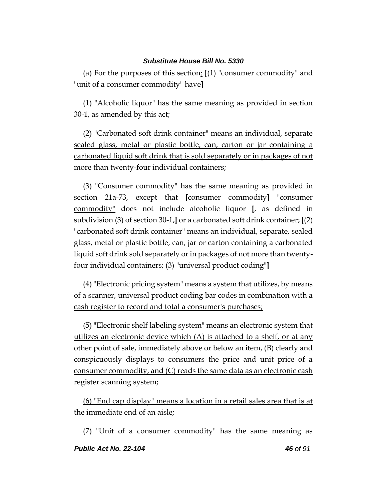(a) For the purposes of this section: **[**(1) "consumer commodity" and "unit of a consumer commodity" have**]**

(1) "Alcoholic liquor" has the same meaning as provided in section 30-1, as amended by this act;

(2) "Carbonated soft drink container" means an individual, separate sealed glass, metal or plastic bottle, can, carton or jar containing a carbonated liquid soft drink that is sold separately or in packages of not more than twenty-four individual containers;

(3) "Consumer commodity" has the same meaning as provided in section 21a-73, except that **[**consumer commodity**]** "consumer commodity" does not include alcoholic liquor **[**, as defined in subdivision (3) of section 30-1,**]** or a carbonated soft drink container; **[**(2) "carbonated soft drink container" means an individual, separate, sealed glass, metal or plastic bottle, can, jar or carton containing a carbonated liquid soft drink sold separately or in packages of not more than twentyfour individual containers; (3) "universal product coding"**]**

(4) "Electronic pricing system" means a system that utilizes, by means of a scanner, universal product coding bar codes in combination with a cash register to record and total a consumer's purchases;

(5) "Electronic shelf labeling system" means an electronic system that utilizes an electronic device which (A) is attached to a shelf, or at any other point of sale, immediately above or below an item, (B) clearly and conspicuously displays to consumers the price and unit price of a consumer commodity, and (C) reads the same data as an electronic cash register scanning system;

(6) "End cap display" means a location in a retail sales area that is at the immediate end of an aisle;

(7) "Unit of a consumer commodity" has the same meaning as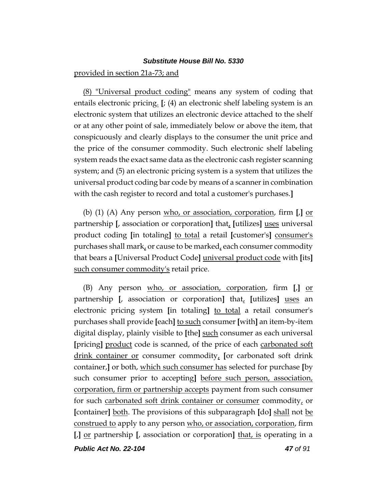provided in section 21a-73; and

(8) "Universal product coding" means any system of coding that entails electronic pricing. **[**; (4) an electronic shelf labeling system is an electronic system that utilizes an electronic device attached to the shelf or at any other point of sale, immediately below or above the item, that conspicuously and clearly displays to the consumer the unit price and the price of the consumer commodity. Such electronic shelf labeling system reads the exact same data as the electronic cash register scanning system; and (5) an electronic pricing system is a system that utilizes the universal product coding bar code by means of a scanner in combination with the cash register to record and total a customer's purchases.**]**

(b) (1) (A) Any person who, or association, corporation, firm **[**,**]** or partnership **[**, association or corporation**]** that, **[**utilizes**]** uses universal product coding **[**in totaling**]** to total a retail **[**customer's**]** consumer's purchases shall mark, or cause to be marked, each consumer commodity that bears a **[**Universal Product Code**]** universal product code with **[**its**]** such consumer commodity's retail price.

(B) Any person who, or association, corporation, firm **[**,**]** or partnership **[**, association or corporation**]** that, **[**utilizes**]** uses an electronic pricing system **[**in totaling**]** to total a retail consumer's purchases shall provide **[**each**]** to such consumer **[**with**]** an item-by-item digital display, plainly visible to **[**the**]** such consumer as each universal **[**pricing**]** product code is scanned, of the price of each carbonated soft drink container or consumer commodity, **[**or carbonated soft drink container,**]** or both, which such consumer has selected for purchase **[**by such consumer prior to accepting**]** before such person, association, corporation, firm or partnership accepts payment from such consumer for such carbonated soft drink container or consumer commodity, or **[**container**]** both. The provisions of this subparagraph **[**do**]** shall not be construed to apply to any person who, or association, corporation, firm **[**,**]** or partnership **[**, association or corporation**]** that, is operating in a

*Public Act No. 22-104 47 of 91*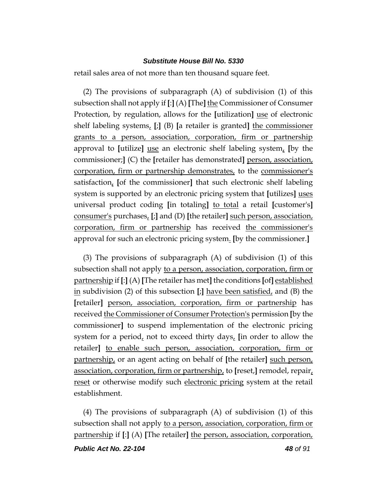retail sales area of not more than ten thousand square feet.

(2) The provisions of subparagraph (A) of subdivision (1) of this subsection shall not apply if **[**:**]** (A) **[**The**]** the Commissioner of Consumer Protection, by regulation, allows for the **[**utilization**]** use of electronic shelf labeling systems, **[**;**]** (B) **[**a retailer is granted**]** the commissioner grants to a person, association, corporation, firm or partnership approval to **[**utilize**]** use an electronic shelf labeling system, **[**by the commissioner;**]** (C) the **[**retailer has demonstrated**]** person, association, corporation, firm or partnership demonstrates, to the commissioner's satisfaction, **[**of the commissioner**]** that such electronic shelf labeling system is supported by an electronic pricing system that **[**utilizes**]** uses universal product coding **[**in totaling**]** to total a retail **[**customer's**]** consumer's purchases, **[**;**]** and (D) **[**the retailer**]** such person, association, corporation, firm or partnership has received the commissioner's approval for such an electronic pricing system. **[**by the commissioner.**]**

(3) The provisions of subparagraph (A) of subdivision (1) of this subsection shall not apply to a person, association, corporation, firm or partnership if **[**:**]** (A) **[**The retailer has met**]** the conditions **[**of**]** established in subdivision (2) of this subsection **[**;**]** have been satisfied, and (B) the **[**retailer**]** person, association, corporation, firm or partnership has received the Commissioner of Consumer Protection's permission **[**by the commissioner**]** to suspend implementation of the electronic pricing system for a period, not to exceed thirty days, **[**in order to allow the retailer**]** to enable such person, association, corporation, firm or partnership, or an agent acting on behalf of **[**the retailer**]** such person, association, corporation, firm or partnership, to **[**reset,**]** remodel, repair, reset or otherwise modify such electronic pricing system at the retail establishment.

(4) The provisions of subparagraph (A) of subdivision (1) of this subsection shall not apply to a person, association, corporation, firm or partnership if **[**:**]** (A) **[**The retailer**]** the person, association, corporation,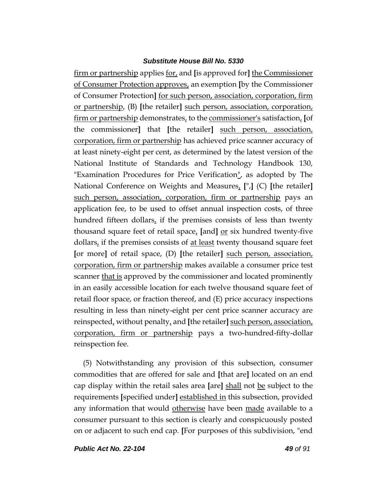firm or partnership applies for, and **[**is approved for**]** the Commissioner of Consumer Protection approves, an exemption **[**by the Commissioner of Consumer Protection**]** for such person, association, corporation, firm or partnership, (B) **[**the retailer**]** such person, association, corporation, firm or partnership demonstrates, to the commissioner's satisfaction, **[**of the commissioner**]** that **[**the retailer**]** such person, association, corporation, firm or partnership has achieved price scanner accuracy of at least ninety-eight per cent, as determined by the latest version of the National Institute of Standards and Technology Handbook 130, "Examination Procedures for Price Verification", as adopted by The National Conference on Weights and Measures, **[**",**]** (C) **[**the retailer**]** such person, association, corporation, firm or partnership pays an application fee, to be used to offset annual inspection costs, of three hundred fifteen dollars, if the premises consists of less than twenty thousand square feet of retail space, [and] <u>or</u> six hundred twenty-five dollars, if the premises consists of <u>at least</u> twenty thousand square feet **[**or more**]** of retail space, (D) **[**the retailer**]** such person, association, corporation, firm or partnership makes available a consumer price test scanner that is approved by the commissioner and located prominently in an easily accessible location for each twelve thousand square feet of retail floor space, or fraction thereof, and (E) price accuracy inspections resulting in less than ninety-eight per cent price scanner accuracy are reinspected, without penalty, and **[**the retailer**]** such person, association, corporation, firm or partnership pays a two-hundred-fifty-dollar reinspection fee.

(5) Notwithstanding any provision of this subsection, consumer commodities that are offered for sale and **[**that are**]** located on an end cap display within the retail sales area **[**are**]** shall not be subject to the requirements **[**specified under**]** established in this subsection, provided any information that would otherwise have been made available to a consumer pursuant to this section is clearly and conspicuously posted on or adjacent to such end cap. **[**For purposes of this subdivision, "end

*Public Act No. 22-104 49 of 91*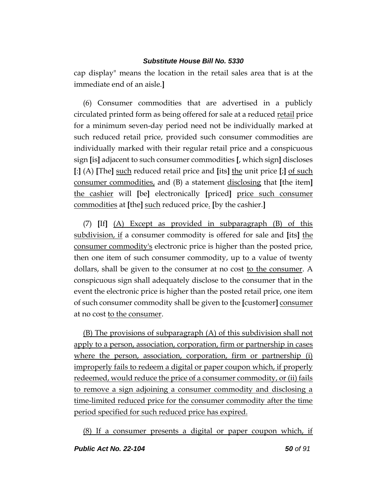cap display" means the location in the retail sales area that is at the immediate end of an aisle.**]**

(6) Consumer commodities that are advertised in a publicly circulated printed form as being offered for sale at a reduced retail price for a minimum seven-day period need not be individually marked at such reduced retail price, provided such consumer commodities are individually marked with their regular retail price and a conspicuous sign **[**is**]** adjacent to such consumer commodities **[**, which sign**]** discloses **[**:**]** (A) **[**The**]** such reduced retail price and **[**its**]** the unit price **[**;**]** of such consumer commodities, and (B) a statement disclosing that **[**the item**]** the cashier will **[**be**]** electronically **[**priced**]** price such consumer commodities at **[**the**]** such reduced price. **[**by the cashier.**]**

(7) **[**If**]** (A) Except as provided in subparagraph (B) of this subdivision, if a consumer commodity is offered for sale and **[**its**]** the consumer commodity's electronic price is higher than the posted price, then one item of such consumer commodity, up to a value of twenty dollars, shall be given to the consumer at no cost to the consumer. A conspicuous sign shall adequately disclose to the consumer that in the event the electronic price is higher than the posted retail price, one item of such consumer commodity shall be given to the **[**customer**]** consumer at no cost <u>to the consumer</u>.

(B) The provisions of subparagraph (A) of this subdivision shall not apply to a person, association, corporation, firm or partnership in cases where the person, association, corporation, firm or partnership (i) improperly fails to redeem a digital or paper coupon which, if properly redeemed, would reduce the price of a consumer commodity, or (ii) fails to remove a sign adjoining a consumer commodity and disclosing a time-limited reduced price for the consumer commodity after the time period specified for such reduced price has expired.

(8) If a consumer presents a digital or paper coupon which, if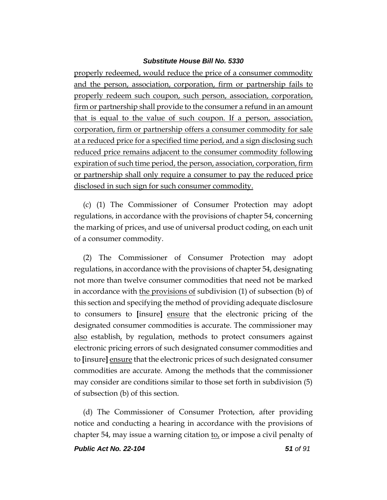properly redeemed, would reduce the price of a consumer commodity and the person, association, corporation, firm or partnership fails to properly redeem such coupon, such person, association, corporation, firm or partnership shall provide to the consumer a refund in an amount that is equal to the value of such coupon. If a person, association, corporation, firm or partnership offers a consumer commodity for sale at a reduced price for a specified time period, and a sign disclosing such reduced price remains adjacent to the consumer commodity following expiration of such time period, the person, association, corporation, firm or partnership shall only require a consumer to pay the reduced price disclosed in such sign for such consumer commodity.

(c) (1) The Commissioner of Consumer Protection may adopt regulations, in accordance with the provisions of chapter 54, concerning the marking of prices, and use of universal product coding, on each unit of a consumer commodity.

(2) The Commissioner of Consumer Protection may adopt regulations, in accordance with the provisions of chapter 54, designating not more than twelve consumer commodities that need not be marked in accordance with the provisions of subdivision (1) of subsection (b) of this section and specifying the method of providing adequate disclosure to consumers to **[**insure**]** ensure that the electronic pricing of the designated consumer commodities is accurate. The commissioner may also establish, by regulation, methods to protect consumers against electronic pricing errors of such designated consumer commodities and to **[**insure**]** ensure that the electronic prices of such designated consumer commodities are accurate. Among the methods that the commissioner may consider are conditions similar to those set forth in subdivision (5) of subsection (b) of this section.

(d) The Commissioner of Consumer Protection, after providing notice and conducting a hearing in accordance with the provisions of chapter 54, may issue a warning citation to, or impose a civil penalty of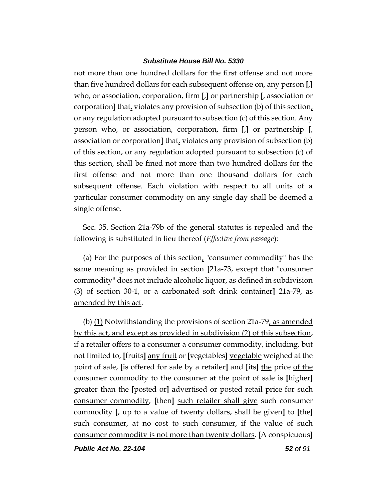not more than one hundred dollars for the first offense and not more than five hundred dollars for each subsequent offense on, any person **[**,**]** who, or association, corporation, firm **[**,**]** or partnership **[**, association or corporation**]** that, violates any provision of subsection (b) of this section, or any regulation adopted pursuant to subsection (c) of this section. Any person who, or association, corporation, firm **[**,**]** or partnership **[**, association or corporation**]** that, violates any provision of subsection (b) of this section, or any regulation adopted pursuant to subsection (c) of this section, shall be fined not more than two hundred dollars for the first offense and not more than one thousand dollars for each subsequent offense. Each violation with respect to all units of a particular consumer commodity on any single day shall be deemed a single offense.

Sec. 35. Section 21a-79b of the general statutes is repealed and the following is substituted in lieu thereof (*Effective from passage*):

(a) For the purposes of this section, "consumer commodity" has the same meaning as provided in section **[**21a-73, except that "consumer commodity" does not include alcoholic liquor, as defined in subdivision (3) of section 30-1, or a carbonated soft drink container**]** 21a-79, as amended by this act.

(b)  $(1)$  Notwithstanding the provisions of section 21a-79, as amended by this act, and except as provided in subdivision (2) of this subsection, if a retailer offers to a consumer a consumer commodity, including, but not limited to, **[**fruits**]** any fruit or **[**vegetables**]** vegetable weighed at the point of sale, **[**is offered for sale by a retailer**]** and **[**its**]** the price of the consumer commodity to the consumer at the point of sale is **[**higher**]** greater than the **[**posted or**]** advertised or posted retail price for such consumer commodity, **[**then**]** such retailer shall give such consumer commodity **[**, up to a value of twenty dollars, shall be given**]** to **[**the**]** such consumer, at no cost to such consumer, if the value of such consumer commodity is not more than twenty dollars. **[**A conspicuous**]**

*Public Act No. 22-104 52 of 91*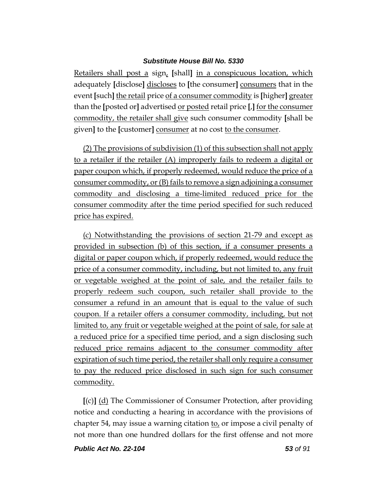Retailers shall post a sign, **[**shall**]** in a conspicuous location, which adequately **[**disclose**]** discloses to **[**the consumer**]** consumers that in the event **[**such**]** the retail price of a consumer commodity is **[**higher**]** greater than the **[**posted or**]** advertised or posted retail price **[**,**]** for the consumer commodity, the retailer shall give such consumer commodity **[**shall be given**]** to the **[**customer**]** consumer at no cost to the consumer.

(2) The provisions of subdivision (1) of this subsection shall not apply to a retailer if the retailer (A) improperly fails to redeem a digital or paper coupon which, if properly redeemed, would reduce the price of a consumer commodity, or (B) fails to remove a sign adjoining a consumer commodity and disclosing a time-limited reduced price for the consumer commodity after the time period specified for such reduced price has expired.

(c) Notwithstanding the provisions of section 21-79 and except as provided in subsection (b) of this section, if a consumer presents a digital or paper coupon which, if properly redeemed, would reduce the price of a consumer commodity, including, but not limited to, any fruit or vegetable weighed at the point of sale, and the retailer fails to properly redeem such coupon, such retailer shall provide to the consumer a refund in an amount that is equal to the value of such coupon. If a retailer offers a consumer commodity, including, but not limited to, any fruit or vegetable weighed at the point of sale, for sale at a reduced price for a specified time period, and a sign disclosing such reduced price remains adjacent to the consumer commodity after expiration of such time period, the retailer shall only require a consumer to pay the reduced price disclosed in such sign for such consumer commodity.

**[**(c)**]** (d) The Commissioner of Consumer Protection, after providing notice and conducting a hearing in accordance with the provisions of chapter 54, may issue a warning citation to, or impose a civil penalty of not more than one hundred dollars for the first offense and not more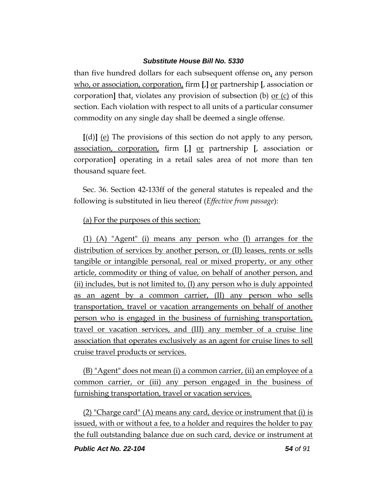than five hundred dollars for each subsequent offense on, any person who, or association, corporation, firm **[**,**]** or partnership **[**, association or corporation**]** that, violates any provision of subsection (b) or (c) of this section. Each violation with respect to all units of a particular consumer commodity on any single day shall be deemed a single offense.

**[**(d)**]** (e) The provisions of this section do not apply to any person, association, corporation, firm **[**,**]** or partnership **[**, association or corporation**]** operating in a retail sales area of not more than ten thousand square feet.

Sec. 36. Section 42-133ff of the general statutes is repealed and the following is substituted in lieu thereof (*Effective from passage*):

# (a) For the purposes of this section:

(1) (A) "Agent" (i) means any person who (I) arranges for the distribution of services by another person, or (II) leases, rents or sells tangible or intangible personal, real or mixed property, or any other article, commodity or thing of value, on behalf of another person, and (ii) includes, but is not limited to, (I) any person who is duly appointed as an agent by a common carrier, (II) any person who sells transportation, travel or vacation arrangements on behalf of another person who is engaged in the business of furnishing transportation, travel or vacation services, and (III) any member of a cruise line association that operates exclusively as an agent for cruise lines to sell cruise travel products or services.

(B) "Agent" does not mean (i) a common carrier, (ii) an employee of a common carrier, or (iii) any person engaged in the business of furnishing transportation, travel or vacation services.

(2) "Charge card" (A) means any card, device or instrument that (i) is issued, with or without a fee, to a holder and requires the holder to pay the full outstanding balance due on such card, device or instrument at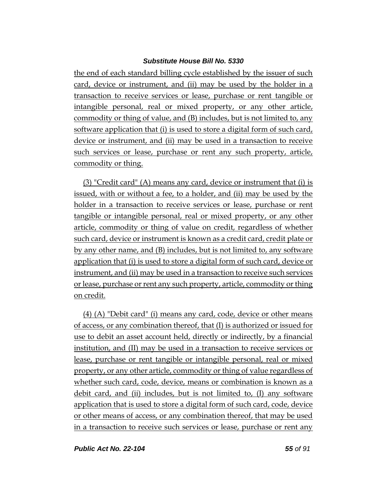the end of each standard billing cycle established by the issuer of such card, device or instrument, and (ii) may be used by the holder in a transaction to receive services or lease, purchase or rent tangible or intangible personal, real or mixed property, or any other article, commodity or thing of value, and (B) includes, but is not limited to, any software application that (i) is used to store a digital form of such card, device or instrument, and (ii) may be used in a transaction to receive such services or lease, purchase or rent any such property, article, commodity or thing.

(3) "Credit card" (A) means any card, device or instrument that (i) is issued, with or without a fee, to a holder, and (ii) may be used by the holder in a transaction to receive services or lease, purchase or rent tangible or intangible personal, real or mixed property, or any other article, commodity or thing of value on credit, regardless of whether such card, device or instrument is known as a credit card, credit plate or by any other name, and (B) includes, but is not limited to, any software application that (i) is used to store a digital form of such card, device or instrument, and (ii) may be used in a transaction to receive such services or lease, purchase or rent any such property, article, commodity or thing on credit.

(4) (A) "Debit card" (i) means any card, code, device or other means of access, or any combination thereof, that (I) is authorized or issued for use to debit an asset account held, directly or indirectly, by a financial institution, and (II) may be used in a transaction to receive services or lease, purchase or rent tangible or intangible personal, real or mixed property, or any other article, commodity or thing of value regardless of whether such card, code, device, means or combination is known as a debit card, and (ii) includes, but is not limited to, (I) any software application that is used to store a digital form of such card, code, device or other means of access, or any combination thereof, that may be used in a transaction to receive such services or lease, purchase or rent any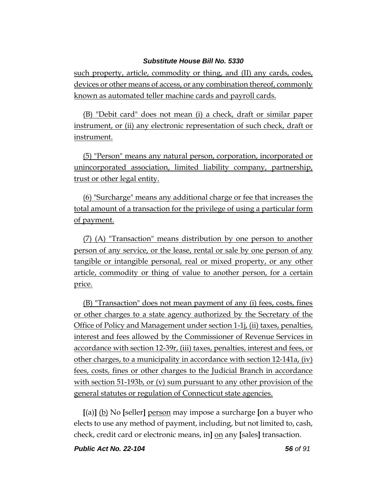such property, article, commodity or thing, and (II) any cards, codes, devices or other means of access, or any combination thereof, commonly known as automated teller machine cards and payroll cards.

(B) "Debit card" does not mean (i) a check, draft or similar paper instrument, or (ii) any electronic representation of such check, draft or instrument.

(5) "Person" means any natural person, corporation, incorporated or unincorporated association, limited liability company, partnership, trust or other legal entity.

(6) "Surcharge" means any additional charge or fee that increases the total amount of a transaction for the privilege of using a particular form of payment.

(7) (A) "Transaction" means distribution by one person to another person of any service, or the lease, rental or sale by one person of any tangible or intangible personal, real or mixed property, or any other article, commodity or thing of value to another person, for a certain price.

(B) "Transaction" does not mean payment of any (i) fees, costs, fines or other charges to a state agency authorized by the Secretary of the Office of Policy and Management under section 1-1j, (ii) taxes, penalties, interest and fees allowed by the Commissioner of Revenue Services in accordance with section 12-39r, (iii) taxes, penalties, interest and fees, or other charges, to a municipality in accordance with section 12-141a, (iv) fees, costs, fines or other charges to the Judicial Branch in accordance with section 51-193b, or (v) sum pursuant to any other provision of the general statutes or regulation of Connecticut state agencies.

**[**(a)**]** (b) No **[**seller**]** person may impose a surcharge **[**on a buyer who elects to use any method of payment, including, but not limited to, cash, check, credit card or electronic means, in**]** on any **[**sales**]** transaction.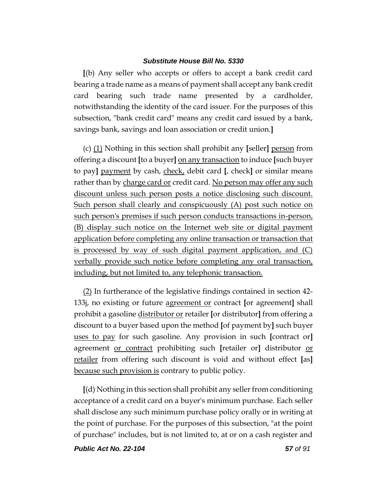**[**(b) Any seller who accepts or offers to accept a bank credit card bearing a trade name as a means of payment shall accept any bank credit card bearing such trade name presented by a cardholder, notwithstanding the identity of the card issuer. For the purposes of this subsection, "bank credit card" means any credit card issued by a bank, savings bank, savings and loan association or credit union.**]**

(c) (1) Nothing in this section shall prohibit any **[**seller**]** person from offering a discount **[**to a buyer**]** on any transaction to induce **[**such buyer to pay**]** payment by cash, check, debit card **[**, check**]** or similar means rather than by charge card or credit card. No person may offer any such discount unless such person posts a notice disclosing such discount. Such person shall clearly and conspicuously (A) post such notice on such person's premises if such person conducts transactions in-person, (B) display such notice on the Internet web site or digital payment application before completing any online transaction or transaction that is processed by way of such digital payment application, and (C) verbally provide such notice before completing any oral transaction, including, but not limited to, any telephonic transaction.

(2) In furtherance of the legislative findings contained in section 42- 133j, no existing or future agreement or contract **[**or agreement**]** shall prohibit a gasoline distributor or retailer **[**or distributor**]** from offering a discount to a buyer based upon the method **[**of payment by**]** such buyer uses to pay for such gasoline. Any provision in such **[**contract or**]** agreement or contract prohibiting such **[**retailer or**]** distributor or retailer from offering such discount is void and without effect **[**as**]** because such provision is contrary to public policy.

**[**(d) Nothing in this section shall prohibit any seller from conditioning acceptance of a credit card on a buyer's minimum purchase. Each seller shall disclose any such minimum purchase policy orally or in writing at the point of purchase. For the purposes of this subsection, "at the point of purchase" includes, but is not limited to, at or on a cash register and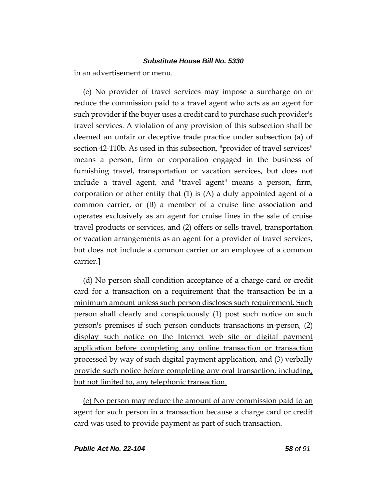in an advertisement or menu.

(e) No provider of travel services may impose a surcharge on or reduce the commission paid to a travel agent who acts as an agent for such provider if the buyer uses a credit card to purchase such provider's travel services. A violation of any provision of this subsection shall be deemed an unfair or deceptive trade practice under subsection (a) of section 42-110b. As used in this subsection, "provider of travel services" means a person, firm or corporation engaged in the business of furnishing travel, transportation or vacation services, but does not include a travel agent, and "travel agent" means a person, firm, corporation or other entity that (1) is (A) a duly appointed agent of a common carrier, or (B) a member of a cruise line association and operates exclusively as an agent for cruise lines in the sale of cruise travel products or services, and (2) offers or sells travel, transportation or vacation arrangements as an agent for a provider of travel services, but does not include a common carrier or an employee of a common carrier.**]**

(d) No person shall condition acceptance of a charge card or credit card for a transaction on a requirement that the transaction be in a minimum amount unless such person discloses such requirement. Such person shall clearly and conspicuously (1) post such notice on such person's premises if such person conducts transactions in-person, (2) display such notice on the Internet web site or digital payment application before completing any online transaction or transaction processed by way of such digital payment application, and (3) verbally provide such notice before completing any oral transaction, including, but not limited to, any telephonic transaction.

(e) No person may reduce the amount of any commission paid to an agent for such person in a transaction because a charge card or credit card was used to provide payment as part of such transaction.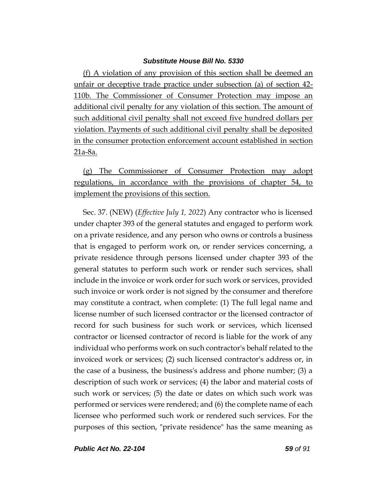(f) A violation of any provision of this section shall be deemed an unfair or deceptive trade practice under subsection (a) of section 42- 110b. The Commissioner of Consumer Protection may impose an additional civil penalty for any violation of this section. The amount of such additional civil penalty shall not exceed five hundred dollars per violation. Payments of such additional civil penalty shall be deposited in the consumer protection enforcement account established in section 21a-8a.

(g) The Commissioner of Consumer Protection may adopt regulations, in accordance with the provisions of chapter 54, to implement the provisions of this section.

Sec. 37. (NEW) (*Effective July 1, 2022*) Any contractor who is licensed under chapter 393 of the general statutes and engaged to perform work on a private residence, and any person who owns or controls a business that is engaged to perform work on, or render services concerning, a private residence through persons licensed under chapter 393 of the general statutes to perform such work or render such services, shall include in the invoice or work order for such work or services, provided such invoice or work order is not signed by the consumer and therefore may constitute a contract, when complete: (1) The full legal name and license number of such licensed contractor or the licensed contractor of record for such business for such work or services, which licensed contractor or licensed contractor of record is liable for the work of any individual who performs work on such contractor's behalf related to the invoiced work or services; (2) such licensed contractor's address or, in the case of a business, the business's address and phone number; (3) a description of such work or services; (4) the labor and material costs of such work or services; (5) the date or dates on which such work was performed or services were rendered; and (6) the complete name of each licensee who performed such work or rendered such services. For the purposes of this section, "private residence" has the same meaning as

*Public Act No. 22-104 59 of 91*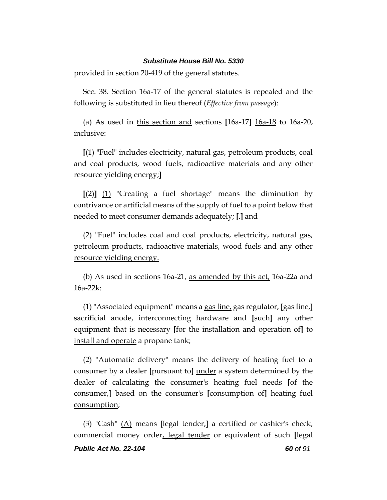provided in section 20-419 of the general statutes.

Sec. 38. Section 16a-17 of the general statutes is repealed and the following is substituted in lieu thereof (*Effective from passage*):

(a) As used in this section and sections **[**16a-17**]** 16a-18 to 16a-20, inclusive:

**[**(1) "Fuel" includes electricity, natural gas, petroleum products, coal and coal products, wood fuels, radioactive materials and any other resource yielding energy;**]**

**[**(2)**]** (1) "Creating a fuel shortage" means the diminution by contrivance or artificial means of the supply of fuel to a point below that needed to meet consumer demands adequately; **[**.**]** and

(2) "Fuel" includes coal and coal products, electricity, natural gas, petroleum products, radioactive materials, wood fuels and any other resource yielding energy.

(b) As used in sections 16a-21, as amended by this act, 16a-22a and 16a-22k:

(1) "Associated equipment" means a gas line, gas regulator, **[**gas line,**]** sacrificial anode, interconnecting hardware and **[**such**]** any other equipment that is necessary **[**for the installation and operation of**]** to install and operate a propane tank;

(2) "Automatic delivery" means the delivery of heating fuel to a consumer by a dealer **[**pursuant to**]** under a system determined by the dealer of calculating the consumer's heating fuel needs **[**of the consumer,**]** based on the consumer's **[**consumption of**]** heating fuel consumption;

*Public Act No. 22-104 60 of 91* (3) "Cash" (A) means **[**legal tender,**]** a certified or cashier's check, commercial money order, legal tender or equivalent of such **[**legal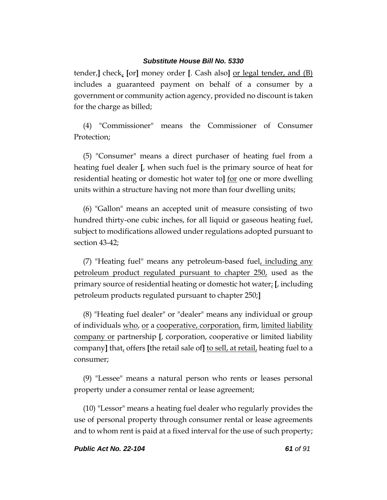tender,**]** check, **[**or**]** money order **[**. Cash also**]** or legal tender, and (B) includes a guaranteed payment on behalf of a consumer by a government or community action agency, provided no discount is taken for the charge as billed;

(4) "Commissioner" means the Commissioner of Consumer Protection;

(5) "Consumer" means a direct purchaser of heating fuel from a heating fuel dealer **[**, when such fuel is the primary source of heat for residential heating or domestic hot water to**]** for one or more dwelling units within a structure having not more than four dwelling units;

(6) "Gallon" means an accepted unit of measure consisting of two hundred thirty-one cubic inches, for all liquid or gaseous heating fuel, subject to modifications allowed under regulations adopted pursuant to section 43-42;

(7) "Heating fuel" means any petroleum-based fuel, including any petroleum product regulated pursuant to chapter 250, used as the primary source of residential heating or domestic hot water; **[**, including petroleum products regulated pursuant to chapter 250;**]**

(8) "Heating fuel dealer" or "dealer" means any individual or group of individuals who, or a cooperative, corporation, firm, limited liability company or partnership **[**, corporation, cooperative or limited liability company**]** that, offers **[**the retail sale of**]** to sell, at retail, heating fuel to a consumer;

(9) "Lessee" means a natural person who rents or leases personal property under a consumer rental or lease agreement;

(10) "Lessor" means a heating fuel dealer who regularly provides the use of personal property through consumer rental or lease agreements and to whom rent is paid at a fixed interval for the use of such property;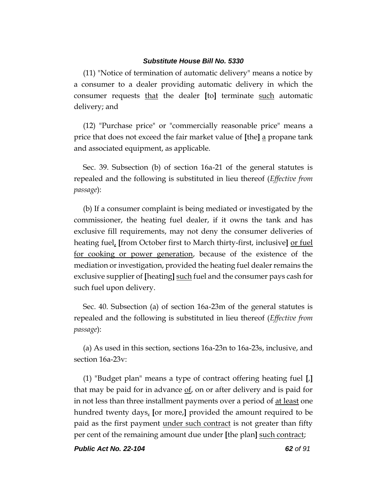(11) "Notice of termination of automatic delivery" means a notice by a consumer to a dealer providing automatic delivery in which the consumer requests that the dealer **[**to**]** terminate such automatic delivery; and

(12) "Purchase price" or "commercially reasonable price" means a price that does not exceed the fair market value of **[**the**]** a propane tank and associated equipment, as applicable.

Sec. 39. Subsection (b) of section 16a-21 of the general statutes is repealed and the following is substituted in lieu thereof (*Effective from passage*):

(b) If a consumer complaint is being mediated or investigated by the commissioner, the heating fuel dealer, if it owns the tank and has exclusive fill requirements, may not deny the consumer deliveries of heating fuel, **[**from October first to March thirty-first, inclusive**]** or fuel for cooking or power generation, because of the existence of the mediation or investigation, provided the heating fuel dealer remains the exclusive supplier of **[**heating**]** such fuel and the consumer pays cash for such fuel upon delivery.

Sec. 40. Subsection (a) of section 16a-23m of the general statutes is repealed and the following is substituted in lieu thereof (*Effective from passage*):

(a) As used in this section, sections 16a-23n to 16a-23s, inclusive, and section 16a-23v:

(1) "Budget plan" means a type of contract offering heating fuel **[**,**]** that may be paid for in advance of, on or after delivery and is paid for in not less than three installment payments over a period of <u>at least</u> one hundred twenty days, **[**or more,**]** provided the amount required to be paid as the first payment under such contract is not greater than fifty per cent of the remaining amount due under **[**the plan**]** such contract;

*Public Act No. 22-104 62 of 91*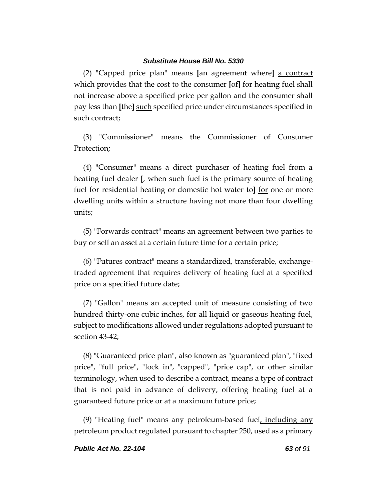(2) "Capped price plan" means **[**an agreement where**]** a contract which provides that the cost to the consumer [of] for heating fuel shall not increase above a specified price per gallon and the consumer shall pay less than **[**the**]** such specified price under circumstances specified in such contract;

(3) "Commissioner" means the Commissioner of Consumer Protection;

(4) "Consumer" means a direct purchaser of heating fuel from a heating fuel dealer **[**, when such fuel is the primary source of heating fuel for residential heating or domestic hot water to**]** for one or more dwelling units within a structure having not more than four dwelling units;

(5) "Forwards contract" means an agreement between two parties to buy or sell an asset at a certain future time for a certain price;

(6) "Futures contract" means a standardized, transferable, exchangetraded agreement that requires delivery of heating fuel at a specified price on a specified future date;

(7) "Gallon" means an accepted unit of measure consisting of two hundred thirty-one cubic inches, for all liquid or gaseous heating fuel, subject to modifications allowed under regulations adopted pursuant to section 43-42;

(8) "Guaranteed price plan", also known as "guaranteed plan", "fixed price", "full price", "lock in", "capped", "price cap", or other similar terminology, when used to describe a contract, means a type of contract that is not paid in advance of delivery, offering heating fuel at a guaranteed future price or at a maximum future price;

(9) "Heating fuel" means any petroleum-based fuel, including any petroleum product regulated pursuant to chapter 250, used as a primary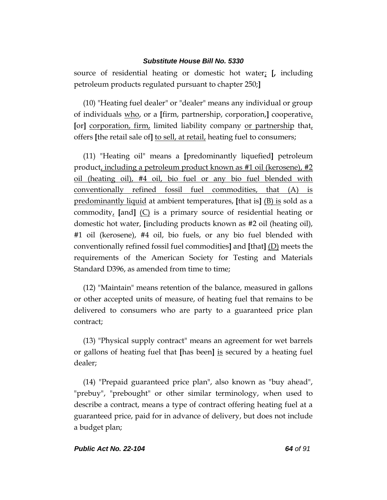source of residential heating or domestic hot water; **[,** including petroleum products regulated pursuant to chapter 250;**]**

(10) "Heating fuel dealer" or "dealer" means any individual or group of individuals who, or a **[**firm, partnership, corporation,**]** cooperative, **[**or**]** corporation, firm, limited liability company or partnership that, offers **[**the retail sale of**]** to sell, at retail, heating fuel to consumers;

(11) "Heating oil" means a **[**predominantly liquefied**]** petroleum product, including a petroleum product known as #1 oil (kerosene), #2 oil (heating oil), #4 oil, bio fuel or any bio fuel blended with conventionally refined fossil fuel commodities, that (A) is predominantly liquid at ambient temperatures, **[**that is**]** (B) is sold as a commodity, **[**and**]** (C) is a primary source of residential heating or domestic hot water, **[**including products known as #2 oil (heating oil), #1 oil (kerosene), #4 oil, bio fuels, or any bio fuel blended with conventionally refined fossil fuel commodities**]** and **[**that**]** (D) meets the requirements of the American Society for Testing and Materials Standard D396, as amended from time to time;

(12) "Maintain" means retention of the balance, measured in gallons or other accepted units of measure, of heating fuel that remains to be delivered to consumers who are party to a guaranteed price plan contract;

(13) "Physical supply contract" means an agreement for wet barrels or gallons of heating fuel that **[**has been**]** is secured by a heating fuel dealer;

(14) "Prepaid guaranteed price plan", also known as "buy ahead", "prebuy", "prebought" or other similar terminology, when used to describe a contract, means a type of contract offering heating fuel at a guaranteed price, paid for in advance of delivery, but does not include a budget plan;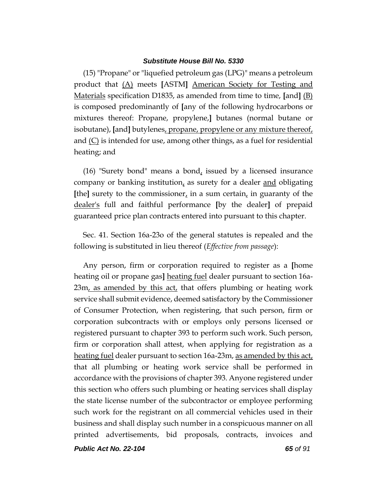(15) "Propane" or "liquefied petroleum gas (LPG)" means a petroleum product that (A) meets **[**ASTM**]** American Society for Testing and Materials specification D1835, as amended from time to time, **[**and**]** (B) is composed predominantly of **[**any of the following hydrocarbons or mixtures thereof: Propane, propylene,**]** butanes (normal butane or isobutane), **[**and**]** butylenes, propane, propylene or any mixture thereof, and  $(C)$  is intended for use, among other things, as a fuel for residential heating; and

(16) "Surety bond" means a bond, issued by a licensed insurance company or banking institution, as surety for a dealer and obligating **[the]** surety to the commissioner, in a sum certain, in guaranty of the dealer's full and faithful performance **[**by the dealer**]** of prepaid guaranteed price plan contracts entered into pursuant to this chapter.

Sec. 41. Section 16a-23o of the general statutes is repealed and the following is substituted in lieu thereof (*Effective from passage*):

Any person, firm or corporation required to register as a **[**home heating oil or propane gas**]** heating fuel dealer pursuant to section 16a-23m, as amended by this act, that offers plumbing or heating work service shall submit evidence, deemed satisfactory by the Commissioner of Consumer Protection, when registering, that such person, firm or corporation subcontracts with or employs only persons licensed or registered pursuant to chapter 393 to perform such work. Such person, firm or corporation shall attest, when applying for registration as a heating fuel dealer pursuant to section 16a-23m, as amended by this act, that all plumbing or heating work service shall be performed in accordance with the provisions of chapter 393. Anyone registered under this section who offers such plumbing or heating services shall display the state license number of the subcontractor or employee performing such work for the registrant on all commercial vehicles used in their business and shall display such number in a conspicuous manner on all printed advertisements, bid proposals, contracts, invoices and

*Public Act No. 22-104 65 of 91*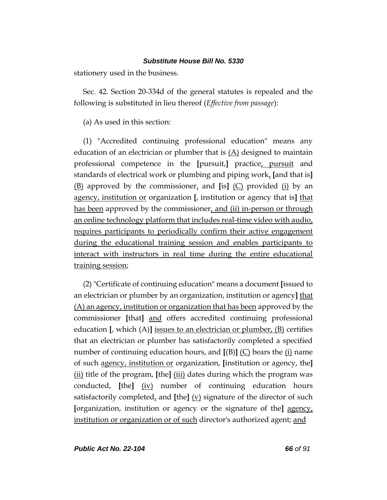stationery used in the business.

Sec. 42. Section 20-334d of the general statutes is repealed and the following is substituted in lieu thereof (*Effective from passage*):

(a) As used in this section:

(1) "Accredited continuing professional education" means any education of an electrician or plumber that is  $(A)$  designed to maintain professional competence in the **[**pursuit,**]** practice, pursuit and standards of electrical work or plumbing and piping work, **[**and that is**]** (B) approved by the commissioner, and **[**is**]** (C) provided (i) by an agency, institution or organization **[**, institution or agency that is**]** that has been approved by the commissioner, and (ii) in-person or through an online technology platform that includes real-time video with audio, requires participants to periodically confirm their active engagement during the educational training session and enables participants to interact with instructors in real time during the entire educational training session;

(2) "Certificate of continuing education" means a document **[**issued to an electrician or plumber by an organization, institution or agency**]** that (A) an agency, institution or organization that has been approved by the commissioner **[**that**]** and offers accredited continuing professional education **[**, which (A)**]** issues to an electrician or plumber, (B) certifies that an electrician or plumber has satisfactorily completed a specified number of continuing education hours, and **[**(B)**]** (C) bears the (i) name of such agency, institution or organization, **[**institution or agency, the**]** (ii) title of the program, **[**the**]** (iii) dates during which the program was conducted, **[**the**]** (iv) number of continuing education hours satisfactorily completed, and **[**the**]** (v) signature of the director of such **[**organization, institution or agency or the signature of the**]** agency, institution or organization or of such director's authorized agent; and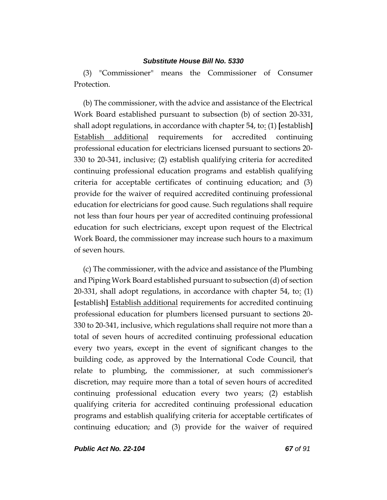(3) "Commissioner" means the Commissioner of Consumer Protection.

(b) The commissioner, with the advice and assistance of the Electrical Work Board established pursuant to subsection (b) of section 20-331, shall adopt regulations, in accordance with chapter 54, to: (1) **[**establish**]** Establish additional requirements for accredited continuing professional education for electricians licensed pursuant to sections 20- 330 to 20-341, inclusive; (2) establish qualifying criteria for accredited continuing professional education programs and establish qualifying criteria for acceptable certificates of continuing education; and (3) provide for the waiver of required accredited continuing professional education for electricians for good cause. Such regulations shall require not less than four hours per year of accredited continuing professional education for such electricians, except upon request of the Electrical Work Board, the commissioner may increase such hours to a maximum of seven hours.

(c) The commissioner, with the advice and assistance of the Plumbing and Piping Work Board established pursuant to subsection (d) of section 20-331, shall adopt regulations, in accordance with chapter 54, to: (1) **[**establish**]** Establish additional requirements for accredited continuing professional education for plumbers licensed pursuant to sections 20- 330 to 20-341, inclusive, which regulations shall require not more than a total of seven hours of accredited continuing professional education every two years, except in the event of significant changes to the building code, as approved by the International Code Council, that relate to plumbing, the commissioner, at such commissioner's discretion, may require more than a total of seven hours of accredited continuing professional education every two years; (2) establish qualifying criteria for accredited continuing professional education programs and establish qualifying criteria for acceptable certificates of continuing education; and (3) provide for the waiver of required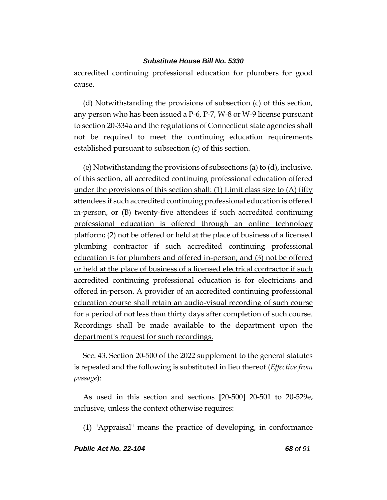accredited continuing professional education for plumbers for good cause.

(d) Notwithstanding the provisions of subsection (c) of this section, any person who has been issued a P-6, P-7, W-8 or W-9 license pursuant to section 20-334a and the regulations of Connecticut state agencies shall not be required to meet the continuing education requirements established pursuant to subsection (c) of this section.

(e) Notwithstanding the provisions of subsections (a) to (d), inclusive, of this section, all accredited continuing professional education offered under the provisions of this section shall: (1) Limit class size to (A) fifty attendees if such accredited continuing professional education is offered in-person, or (B) twenty-five attendees if such accredited continuing professional education is offered through an online technology platform; (2) not be offered or held at the place of business of a licensed plumbing contractor if such accredited continuing professional education is for plumbers and offered in-person; and (3) not be offered or held at the place of business of a licensed electrical contractor if such accredited continuing professional education is for electricians and offered in-person. A provider of an accredited continuing professional education course shall retain an audio-visual recording of such course for a period of not less than thirty days after completion of such course. Recordings shall be made available to the department upon the department's request for such recordings.

Sec. 43. Section 20-500 of the 2022 supplement to the general statutes is repealed and the following is substituted in lieu thereof (*Effective from passage*):

As used in this section and sections **[**20-500**]** 20-501 to 20-529e, inclusive, unless the context otherwise requires:

(1) "Appraisal" means the practice of developing, in conformance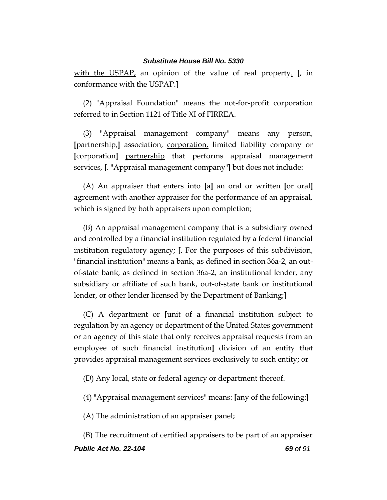with the USPAP, an opinion of the value of real property. **[**, in conformance with the USPAP.**]**

(2) "Appraisal Foundation" means the not-for-profit corporation referred to in Section 1121 of Title XI of FIRREA.

(3) "Appraisal management company" means any person, **[**partnership,**]** association, corporation, limited liability company or **[**corporation**]** partnership that performs appraisal management services, **[**. "Appraisal management company"**]** but does not include:

(A) An appraiser that enters into **[**a**]** an oral or written **[**or oral**]** agreement with another appraiser for the performance of an appraisal, which is signed by both appraisers upon completion;

(B) An appraisal management company that is a subsidiary owned and controlled by a financial institution regulated by a federal financial institution regulatory agency; **[**. For the purposes of this subdivision, "financial institution" means a bank, as defined in section 36a-2, an outof-state bank, as defined in section 36a-2, an institutional lender, any subsidiary or affiliate of such bank, out-of-state bank or institutional lender, or other lender licensed by the Department of Banking;**]**

(C) A department or **[**unit of a financial institution subject to regulation by an agency or department of the United States government or an agency of this state that only receives appraisal requests from an employee of such financial institution**]** division of an entity that provides appraisal management services exclusively to such entity; or

(D) Any local, state or federal agency or department thereof.

(4) "Appraisal management services" means: **[**any of the following:**]**

(A) The administration of an appraiser panel;

*Public Act No. 22-104 69 of 91* (B) The recruitment of certified appraisers to be part of an appraiser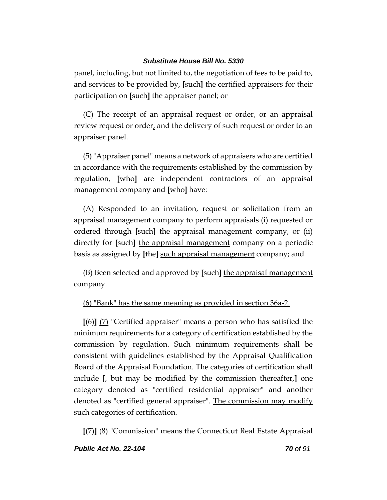panel, including, but not limited to, the negotiation of fees to be paid to, and services to be provided by, **[**such**]** the certified appraisers for their participation on **[**such**]** the appraiser panel; or

(C) The receipt of an appraisal request or order, or an appraisal review request or order, and the delivery of such request or order to an appraiser panel.

(5)"Appraiser panel" means a network of appraisers who are certified in accordance with the requirements established by the commission by regulation, **[**who**]** are independent contractors of an appraisal management company and **[**who**]** have:

(A) Responded to an invitation, request or solicitation from an appraisal management company to perform appraisals (i) requested or ordered through **[**such**]** the appraisal management company, or (ii) directly for **[**such**]** the appraisal management company on a periodic basis as assigned by **[**the**]** such appraisal management company; and

(B) Been selected and approved by **[**such**]** the appraisal management company.

(6) "Bank" has the same meaning as provided in section 36a-2.

**[**(6)**]** (7) "Certified appraiser" means a person who has satisfied the minimum requirements for a category of certification established by the commission by regulation. Such minimum requirements shall be consistent with guidelines established by the Appraisal Qualification Board of the Appraisal Foundation. The categories of certification shall include **[**, but may be modified by the commission thereafter,**]** one category denoted as "certified residential appraiser" and another denoted as "certified general appraiser". The commission may modify such categories of certification.

**[**(7)**]** (8) "Commission" means the Connecticut Real Estate Appraisal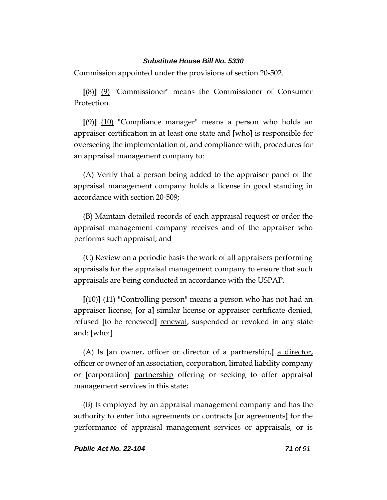Commission appointed under the provisions of section 20-502.

**[**(8)**]** (9) "Commissioner" means the Commissioner of Consumer Protection.

**[**(9)**]** (10) "Compliance manager" means a person who holds an appraiser certification in at least one state and **[**who**]** is responsible for overseeing the implementation of, and compliance with, procedures for an appraisal management company to:

(A) Verify that a person being added to the appraiser panel of the appraisal management company holds a license in good standing in accordance with section 20-509;

(B) Maintain detailed records of each appraisal request or order the appraisal management company receives and of the appraiser who performs such appraisal; and

(C) Review on a periodic basis the work of all appraisers performing appraisals for the appraisal management company to ensure that such appraisals are being conducted in accordance with the USPAP.

**[**(10)**]** (11) "Controlling person" means a person who has not had an appraiser license, **[**or a**]** similar license or appraiser certificate denied, refused **[**to be renewed**]** renewal, suspended or revoked in any state and: **[**who:**]**

(A) Is **[**an owner, officer or director of a partnership,**]** a director, officer or owner of an association, corporation, limited liability company or **[**corporation**]** partnership offering or seeking to offer appraisal management services in this state;

(B) Is employed by an appraisal management company and has the authority to enter into agreements or contracts **[**or agreements**]** for the performance of appraisal management services or appraisals, or is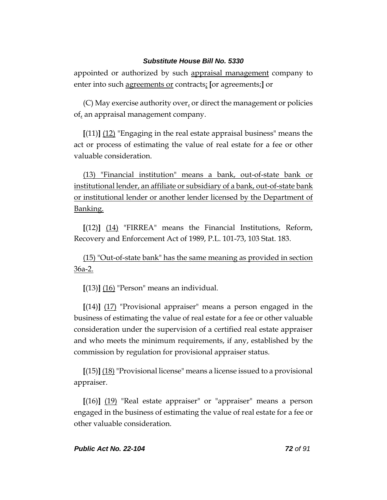appointed or authorized by such appraisal management company to enter into such agreements or contracts; **[**or agreements;**]** or

 $(C)$  May exercise authority over, or direct the management or policies of, an appraisal management company.

**[**(11)**]** (12) "Engaging in the real estate appraisal business" means the act or process of estimating the value of real estate for a fee or other valuable consideration.

(13) "Financial institution" means a bank, out-of-state bank or institutional lender, an affiliate or subsidiary of a bank, out-of-state bank or institutional lender or another lender licensed by the Department of Banking.

**[**(12)**]** (14) "FIRREA" means the Financial Institutions, Reform, Recovery and Enforcement Act of 1989, P.L. 101-73, 103 Stat. 183.

(15) "Out-of-state bank" has the same meaning as provided in section 36a-2.

**[**(13)**]** (16) "Person" means an individual.

**[**(14)**]** (17) "Provisional appraiser" means a person engaged in the business of estimating the value of real estate for a fee or other valuable consideration under the supervision of a certified real estate appraiser and who meets the minimum requirements, if any, established by the commission by regulation for provisional appraiser status.

**[**(15)**]** (18) "Provisional license" means a license issued to a provisional appraiser.

**[**(16)**]** (19) "Real estate appraiser" or "appraiser" means a person engaged in the business of estimating the value of real estate for a fee or other valuable consideration.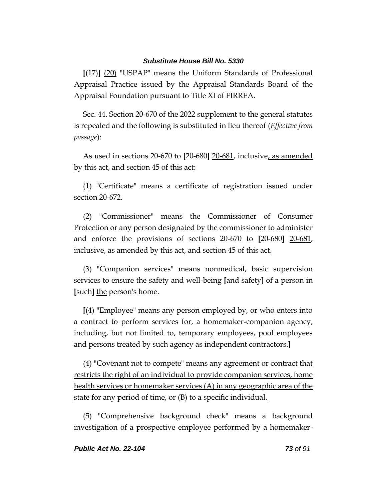**[**(17)**]** (20) "USPAP" means the Uniform Standards of Professional Appraisal Practice issued by the Appraisal Standards Board of the Appraisal Foundation pursuant to Title XI of FIRREA.

Sec. 44. Section 20-670 of the 2022 supplement to the general statutes is repealed and the following is substituted in lieu thereof (*Effective from passage*):

As used in sections 20-670 to **[**20-680**]** 20-681, inclusive, as amended by this act, and section 45 of this act:

(1) "Certificate" means a certificate of registration issued under section 20-672.

(2) "Commissioner" means the Commissioner of Consumer Protection or any person designated by the commissioner to administer and enforce the provisions of sections 20-670 to **[**20-680**]** 20-681, inclusive, as amended by this act, and section 45 of this act.

(3) "Companion services" means nonmedical, basic supervision services to ensure the safety and well-being **[**and safety**]** of a person in **[**such**]** the person's home.

**[**(4) "Employee" means any person employed by, or who enters into a contract to perform services for, a homemaker-companion agency, including, but not limited to, temporary employees, pool employees and persons treated by such agency as independent contractors.**]**

(4) "Covenant not to compete" means any agreement or contract that restricts the right of an individual to provide companion services, home health services or homemaker services (A) in any geographic area of the state for any period of time, or (B) to a specific individual.

(5) "Comprehensive background check" means a background investigation of a prospective employee performed by a homemaker-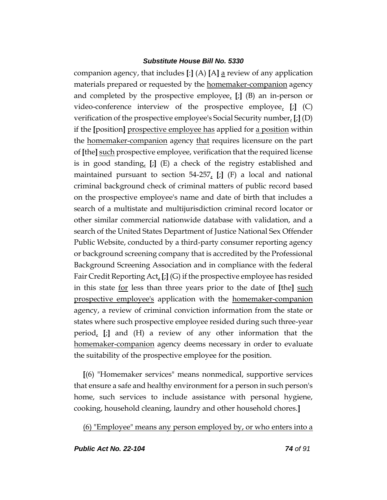companion agency, that includes **[**:**]** (A) **[**A**]** a review of any application materials prepared or requested by the homemaker-companion agency and completed by the prospective employee, **[**;**]** (B) an in-person or video-conference interview of the prospective employee, **[**;**]** (C) verification of the prospective employee's Social Security number, **[**;**]** (D) if the **[**position**]** prospective employee has applied for a position within the homemaker-companion agency that requires licensure on the part of **[**the**]** such prospective employee, verification that the required license is in good standing, **[**;**]** (E) a check of the registry established and maintained pursuant to section 54-257, **[**;**]** (F) a local and national criminal background check of criminal matters of public record based on the prospective employee's name and date of birth that includes a search of a multistate and multijurisdiction criminal record locator or other similar commercial nationwide database with validation, and a search of the United States Department of Justice National Sex Offender Public Website, conducted by a third-party consumer reporting agency or background screening company that is accredited by the Professional Background Screening Association and in compliance with the federal Fair Credit Reporting Act, **[**;**]** (G) if the prospective employee has resided in this state for less than three years prior to the date of **[**the**]** such prospective employee's application with the homemaker-companion agency, a review of criminal conviction information from the state or states where such prospective employee resided during such three-year period, **[**;**]** and (H) a review of any other information that the homemaker-companion agency deems necessary in order to evaluate the suitability of the prospective employee for the position.

**[**(6) "Homemaker services" means nonmedical, supportive services that ensure a safe and healthy environment for a person in such person's home, such services to include assistance with personal hygiene, cooking, household cleaning, laundry and other household chores.**]**

(6) "Employee" means any person employed by, or who enters into a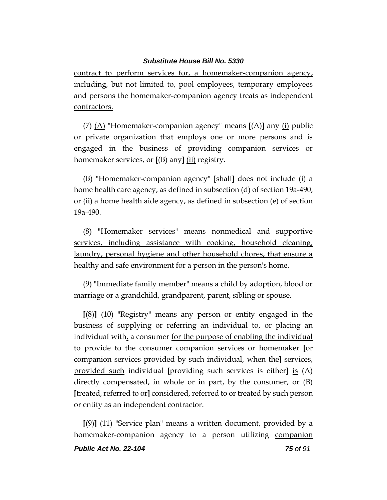contract to perform services for, a homemaker-companion agency, including, but not limited to, pool employees, temporary employees and persons the homemaker-companion agency treats as independent contractors.

(7) (A) "Homemaker-companion agency" means **[**(A)**]** any (i) public or private organization that employs one or more persons and is engaged in the business of providing companion services or homemaker services, or **[**(B) any**]** (ii) registry.

(B) "Homemaker-companion agency" **[**shall**]** does not include (i) a home health care agency, as defined in subsection (d) of section 19a-490, or (ii) a home health aide agency, as defined in subsection (e) of section 19a-490.

(8) "Homemaker services" means nonmedical and supportive services, including assistance with cooking, household cleaning, laundry, personal hygiene and other household chores, that ensure a healthy and safe environment for a person in the person's home.

(9) "Immediate family member" means a child by adoption, blood or marriage or a grandchild, grandparent, parent, sibling or spouse.

**[**(8)**]** (10) "Registry" means any person or entity engaged in the business of supplying or referring an individual to, or placing an individual with, a consumer for the purpose of enabling the individual to provide to the consumer companion services or homemaker **[**or companion services provided by such individual, when the**]** services, provided such individual **[**providing such services is either**]** is (A) directly compensated, in whole or in part, by the consumer, or (B) **[**treated, referred to or**]** considered, referred to or treated by such person or entity as an independent contractor.

 $[(9)]$   $(11)$  "Service plan" means a written document, provided by a homemaker-companion agency to a person utilizing companion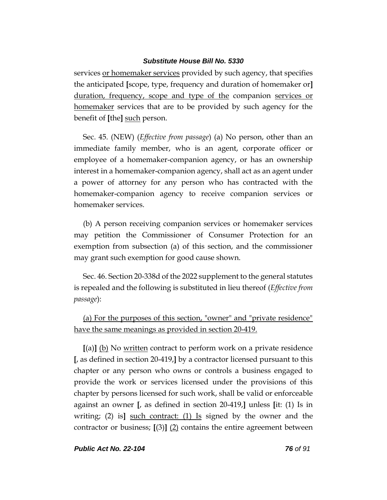services or homemaker services provided by such agency, that specifies the anticipated **[**scope, type, frequency and duration of homemaker or**]** duration, frequency, scope and type of the companion services or homemaker services that are to be provided by such agency for the benefit of **[**the**]** such person.

Sec. 45. (NEW) (*Effective from passage*) (a) No person, other than an immediate family member, who is an agent, corporate officer or employee of a homemaker-companion agency, or has an ownership interest in a homemaker-companion agency, shall act as an agent under a power of attorney for any person who has contracted with the homemaker-companion agency to receive companion services or homemaker services.

(b) A person receiving companion services or homemaker services may petition the Commissioner of Consumer Protection for an exemption from subsection (a) of this section, and the commissioner may grant such exemption for good cause shown.

Sec. 46. Section 20-338d of the 2022 supplement to the general statutes is repealed and the following is substituted in lieu thereof (*Effective from passage*):

(a) For the purposes of this section, "owner" and "private residence" have the same meanings as provided in section 20-419.

**[**(a)**]** (b) No written contract to perform work on a private residence **[**, as defined in section 20-419,**]** by a contractor licensed pursuant to this chapter or any person who owns or controls a business engaged to provide the work or services licensed under the provisions of this chapter by persons licensed for such work, shall be valid or enforceable against an owner **[**, as defined in section 20-419,**]** unless **[**it: (1) Is in writing; (2) is**]** such contract: (1) Is signed by the owner and the contractor or business; **[**(3)**]** (2) contains the entire agreement between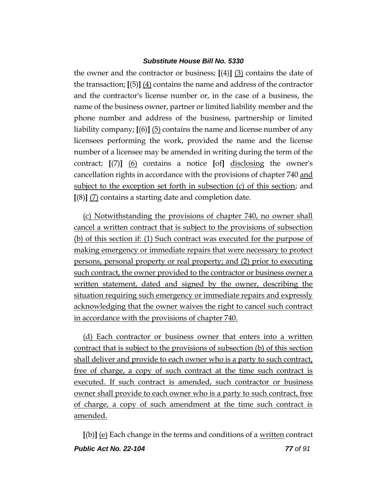the owner and the contractor or business; **[**(4)**]** (3) contains the date of the transaction; **[**(5)**]** (4) contains the name and address of the contractor and the contractor's license number or, in the case of a business, the name of the business owner, partner or limited liability member and the phone number and address of the business, partnership or limited liability company; **[**(6)**]** (5) contains the name and license number of any licensees performing the work, provided the name and the license number of a licensee may be amended in writing during the term of the contract; **[**(7)**]** (6) contains a notice **[**of**]** disclosing the owner's cancellation rights in accordance with the provisions of chapter 740 and subject to the exception set forth in subsection (c) of this section; and **[**(8)**]** (7) contains a starting date and completion date.

(c) Notwithstanding the provisions of chapter 740, no owner shall cancel a written contract that is subject to the provisions of subsection (b) of this section if: (1) Such contract was executed for the purpose of making emergency or immediate repairs that were necessary to protect persons, personal property or real property; and (2) prior to executing such contract, the owner provided to the contractor or business owner a written statement, dated and signed by the owner, describing the situation requiring such emergency or immediate repairs and expressly acknowledging that the owner waives the right to cancel such contract in accordance with the provisions of chapter 740.

(d) Each contractor or business owner that enters into a written contract that is subject to the provisions of subsection (b) of this section shall deliver and provide to each owner who is a party to such contract, free of charge, a copy of such contract at the time such contract is executed. If such contract is amended, such contractor or business owner shall provide to each owner who is a party to such contract, free of charge, a copy of such amendment at the time such contract is amended.

*Public Act No. 22-104 77 of 91* **[**(b)**]** (e) Each change in the terms and conditions of a written contract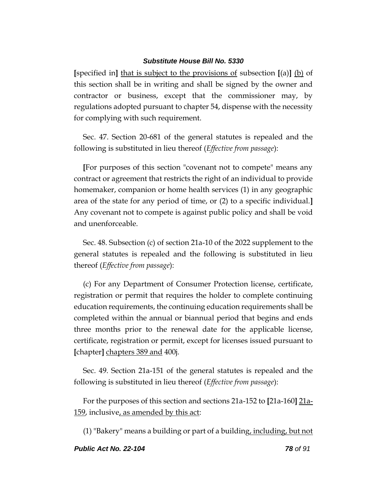**[**specified in**]** that is subject to the provisions of subsection **[**(a)**]** (b) of this section shall be in writing and shall be signed by the owner and contractor or business, except that the commissioner may, by regulations adopted pursuant to chapter 54, dispense with the necessity for complying with such requirement.

Sec. 47. Section 20-681 of the general statutes is repealed and the following is substituted in lieu thereof (*Effective from passage*):

**[**For purposes of this section "covenant not to compete" means any contract or agreement that restricts the right of an individual to provide homemaker, companion or home health services (1) in any geographic area of the state for any period of time, or (2) to a specific individual.**]** Any covenant not to compete is against public policy and shall be void and unenforceable.

Sec. 48. Subsection (c) of section 21a-10 of the 2022 supplement to the general statutes is repealed and the following is substituted in lieu thereof (*Effective from passage*):

(c) For any Department of Consumer Protection license, certificate, registration or permit that requires the holder to complete continuing education requirements, the continuing education requirements shall be completed within the annual or biannual period that begins and ends three months prior to the renewal date for the applicable license, certificate, registration or permit, except for licenses issued pursuant to **[**chapter**]** chapters 389 and 400j.

Sec. 49. Section 21a-151 of the general statutes is repealed and the following is substituted in lieu thereof (*Effective from passage*):

For the purposes of this section and sections 21a-152 to **[**21a-160**]** 21a-159, inclusive, as amended by this act:

(1) "Bakery" means a building or part of a building, including, but not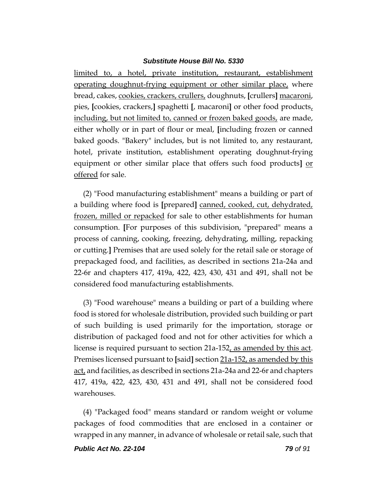limited to, a hotel, private institution, restaurant, establishment operating doughnut-frying equipment or other similar place, where bread, cakes, cookies, crackers, crullers, doughnuts, **[**crullers**]** macaroni, pies, **[**cookies, crackers,**]** spaghetti **[**, macaroni**]** or other food products, including, but not limited to, canned or frozen baked goods, are made, either wholly or in part of flour or meal, **[**including frozen or canned baked goods. "Bakery" includes, but is not limited to, any restaurant, hotel, private institution, establishment operating doughnut-frying equipment or other similar place that offers such food products**]** or offered for sale.

(2) "Food manufacturing establishment" means a building or part of a building where food is **[**prepared**]** canned, cooked, cut, dehydrated, frozen, milled or repacked for sale to other establishments for human consumption. **[**For purposes of this subdivision, "prepared" means a process of canning, cooking, freezing, dehydrating, milling, repacking or cutting.**]** Premises that are used solely for the retail sale or storage of prepackaged food, and facilities, as described in sections 21a-24a and 22-6r and chapters 417, 419a, 422, 423, 430, 431 and 491, shall not be considered food manufacturing establishments.

(3) "Food warehouse" means a building or part of a building where food is stored for wholesale distribution, provided such building or part of such building is used primarily for the importation, storage or distribution of packaged food and not for other activities for which a license is required pursuant to section 21a-152, as amended by this act. Premises licensed pursuant to **[**said**]** section 21a-152, as amended by this act, and facilities, as described in sections 21a-24a and 22-6r and chapters 417, 419a, 422, 423, 430, 431 and 491, shall not be considered food warehouses.

(4) "Packaged food" means standard or random weight or volume packages of food commodities that are enclosed in a container or wrapped in any manner, in advance of wholesale or retail sale, such that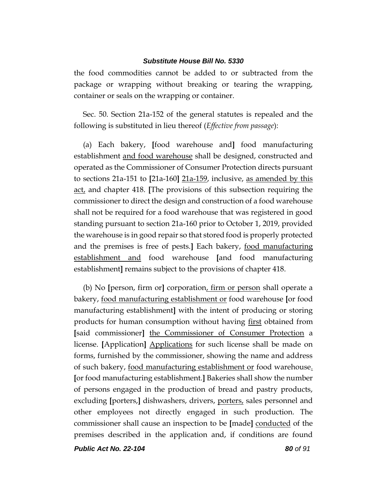the food commodities cannot be added to or subtracted from the package or wrapping without breaking or tearing the wrapping, container or seals on the wrapping or container.

Sec. 50. Section 21a-152 of the general statutes is repealed and the following is substituted in lieu thereof (*Effective from passage*):

(a) Each bakery, **[**food warehouse and**]** food manufacturing establishment and food warehouse shall be designed, constructed and operated as the Commissioner of Consumer Protection directs pursuant to sections 21a-151 to **[**21a-160**]** 21a-159, inclusive, as amended by this act, and chapter 418. **[**The provisions of this subsection requiring the commissioner to direct the design and construction of a food warehouse shall not be required for a food warehouse that was registered in good standing pursuant to section 21a-160 prior to October 1, 2019, provided the warehouse is in good repair so that stored food is properly protected and the premises is free of pests.**]** Each bakery, food manufacturing establishment and food warehouse **[**and food manufacturing establishment**]** remains subject to the provisions of chapter 418.

(b) No **[**person, firm or**]** corporation, firm or person shall operate a bakery, food manufacturing establishment or food warehouse **[**or food manufacturing establishment**]** with the intent of producing or storing products for human consumption without having first obtained from **[**said commissioner**]** the Commissioner of Consumer Protection a license. **[**Application**]** Applications for such license shall be made on forms, furnished by the commissioner, showing the name and address of such bakery, food manufacturing establishment or food warehouse. **[**or food manufacturing establishment.**]** Bakeries shall show the number of persons engaged in the production of bread and pastry products, excluding **[**porters,**]** dishwashers, drivers, porters, sales personnel and other employees not directly engaged in such production. The commissioner shall cause an inspection to be **[**made**]** conducted of the premises described in the application and, if conditions are found

*Public Act No. 22-104 80 of 91*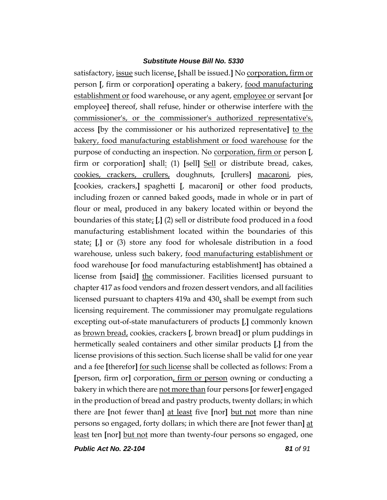satisfactory, issue such license. **[**shall be issued.**]** No corporation, firm or person **[**, firm or corporation**]** operating a bakery, food manufacturing establishment or food warehouse, or any agent, employee or servant **[**or employee] thereof, shall refuse, hinder or otherwise interfere with the commissioner's, or the commissioner's authorized representative's, access **[**by the commissioner or his authorized representative**]** to the bakery, food manufacturing establishment or food warehouse for the purpose of conducting an inspection. No corporation, firm or person **[**, firm or corporation**]** shall: (1) **[**sell**]** Sell or distribute bread, cakes, cookies, crackers, crullers, doughnuts, **[**crullers**]** macaroni, pies, **[**cookies, crackers,**]** spaghetti **[**, macaroni**]** or other food products, including frozen or canned baked goods, made in whole or in part of flour or meal, produced in any bakery located within or beyond the boundaries of this state; **[**,**]** (2) sell or distribute food produced in a food manufacturing establishment located within the boundaries of this state; **[**,**]** or (3) store any food for wholesale distribution in a food warehouse, unless such bakery, food manufacturing establishment or food warehouse **[**or food manufacturing establishment**]** has obtained a license from **[**said**]** the commissioner. Facilities licensed pursuant to chapter 417 as food vendors and frozen dessert vendors, and all facilities licensed pursuant to chapters 419a and 430, shall be exempt from such licensing requirement. The commissioner may promulgate regulations excepting out-of-state manufacturers of products **[**,**]** commonly known as brown bread, cookies, crackers **[**, brown bread**]** or plum puddings in hermetically sealed containers and other similar products **[**,**]** from the license provisions of this section. Such license shall be valid for one year and a fee **[**therefor**]** for such license shall be collected as follows: From a **[**person, firm or**]** corporation, firm or person owning or conducting a bakery in which there are not more than four persons **[**or fewer**]** engaged in the production of bread and pastry products, twenty dollars; in which there are **[**not fewer than**]** at least five **[**nor**]** but not more than nine persons so engaged, forty dollars; in which there are **[**not fewer than**]** at least ten **[**nor**]** but not more than twenty-four persons so engaged, one

*Public Act No. 22-104 81 of 91*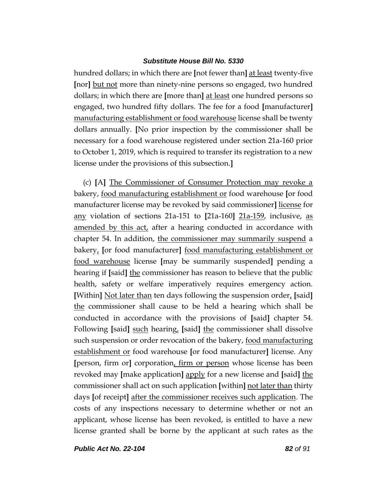hundred dollars; in which there are **[**not fewer than**]** at least twenty-five **[**nor**]** but not more than ninety-nine persons so engaged, two hundred dollars; in which there are **[**more than**]** at least one hundred persons so engaged, two hundred fifty dollars. The fee for a food **[**manufacturer**]** manufacturing establishment or food warehouse license shall be twenty dollars annually. **[**No prior inspection by the commissioner shall be necessary for a food warehouse registered under section 21a-160 prior to October 1, 2019, which is required to transfer its registration to a new license under the provisions of this subsection.**]**

(c) **[**A**]** The Commissioner of Consumer Protection may revoke a bakery, food manufacturing establishment or food warehouse **[**or food manufacturer license may be revoked by said commissioner**]** license for any violation of sections 21a-151 to **[**21a-160**]** 21a-159, inclusive, as amended by this act, after a hearing conducted in accordance with chapter 54. In addition, the commissioner may summarily suspend a bakery, **[**or food manufacturer**]** food manufacturing establishment or food warehouse license **[**may be summarily suspended**]** pending a hearing if **[**said**]** the commissioner has reason to believe that the public health, safety or welfare imperatively requires emergency action. **[**Within**]** Not later than ten days following the suspension order, **[**said**]** the commissioner shall cause to be held a hearing which shall be conducted in accordance with the provisions of **[**said**]** chapter 54. Following **[**said**]** such hearing, **[**said**]** the commissioner shall dissolve such suspension or order revocation of the bakery, food manufacturing establishment or food warehouse **[**or food manufacturer**]** license. Any **[**person, firm or**]** corporation, firm or person whose license has been revoked may **[**make application**]** apply for a new license and **[**said**]** the commissioner shall act on such application **[**within**]** not later than thirty days **[**of receipt**]** after the commissioner receives such application. The costs of any inspections necessary to determine whether or not an applicant, whose license has been revoked, is entitled to have a new license granted shall be borne by the applicant at such rates as the

*Public Act No. 22-104 82 of 91*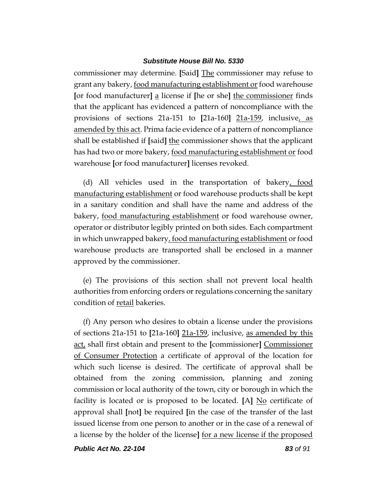commissioner may determine. **[**Said**]** The commissioner may refuse to grant any bakery, food manufacturing establishment or food warehouse **[**or food manufacturer**]** a license if **[**he or she**]** the commissioner finds that the applicant has evidenced a pattern of noncompliance with the provisions of sections 21a-151 to **[**21a-160**]** 21a-159, inclusive, as amended by this act. Prima facie evidence of a pattern of noncompliance shall be established if **[**said**]** the commissioner shows that the applicant has had two or more bakery, food manufacturing establishment or food warehouse **[**or food manufacturer**]** licenses revoked.

(d) All vehicles used in the transportation of bakery, food manufacturing establishment or food warehouse products shall be kept in a sanitary condition and shall have the name and address of the bakery, food manufacturing establishment or food warehouse owner, operator or distributor legibly printed on both sides. Each compartment in which unwrapped bakery, food manufacturing establishment or food warehouse products are transported shall be enclosed in a manner approved by the commissioner.

(e) The provisions of this section shall not prevent local health authorities from enforcing orders or regulations concerning the sanitary condition of retail bakeries.

(f) Any person who desires to obtain a license under the provisions of sections 21a-151 to **[**21a-160**]** 21a-159, inclusive, as amended by this act, shall first obtain and present to the **[**commissioner**]** Commissioner of Consumer Protection a certificate of approval of the location for which such license is desired. The certificate of approval shall be obtained from the zoning commission, planning and zoning commission or local authority of the town, city or borough in which the facility is located or is proposed to be located. **[**A**]** No certificate of approval shall **[**not**]** be required **[**in the case of the transfer of the last issued license from one person to another or in the case of a renewal of a license by the holder of the license**]** for a new license if the proposed

*Public Act No. 22-104 83 of 91*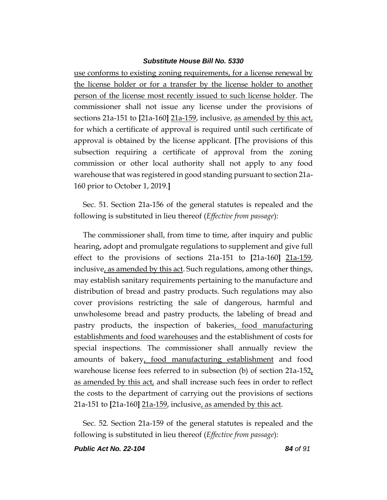use conforms to existing zoning requirements, for a license renewal by the license holder or for a transfer by the license holder to another person of the license most recently issued to such license holder. The commissioner shall not issue any license under the provisions of sections 21a-151 to **[**21a-160**]** 21a-159, inclusive, as amended by this act, for which a certificate of approval is required until such certificate of approval is obtained by the license applicant. **[**The provisions of this subsection requiring a certificate of approval from the zoning commission or other local authority shall not apply to any food warehouse that was registered in good standing pursuant to section 21a-160 prior to October 1, 2019.**]**

Sec. 51. Section 21a-156 of the general statutes is repealed and the following is substituted in lieu thereof (*Effective from passage*):

The commissioner shall, from time to time, after inquiry and public hearing, adopt and promulgate regulations to supplement and give full effect to the provisions of sections 21a-151 to **[**21a-160**]** 21a-159, inclusive, as amended by this act. Such regulations, among other things, may establish sanitary requirements pertaining to the manufacture and distribution of bread and pastry products. Such regulations may also cover provisions restricting the sale of dangerous, harmful and unwholesome bread and pastry products, the labeling of bread and pastry products, the inspection of bakeries, food manufacturing establishments and food warehouses and the establishment of costs for special inspections. The commissioner shall annually review the amounts of bakery, food manufacturing establishment and food warehouse license fees referred to in subsection (b) of section 21a-152, as amended by this act, and shall increase such fees in order to reflect the costs to the department of carrying out the provisions of sections 21a-151 to **[**21a-160**]** 21a-159, inclusive, as amended by this act.

Sec. 52. Section 21a-159 of the general statutes is repealed and the following is substituted in lieu thereof (*Effective from passage*):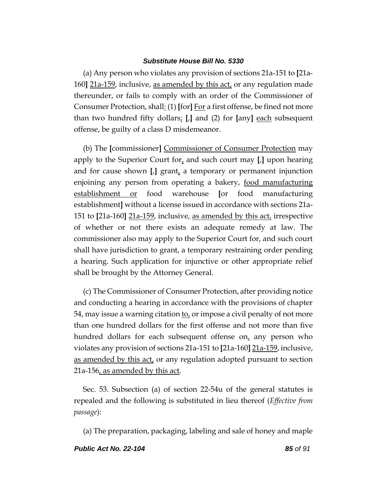(a) Any person who violates any provision of sections 21a-151 to **[**21a-160**]** 21a-159, inclusive, as amended by this act, or any regulation made thereunder, or fails to comply with an order of the Commissioner of Consumer Protection, shall: (1) **[**for**]** For a first offense, be fined not more than two hundred fifty dollars; **[**,**]** and (2) for **[**any**]** each subsequent offense, be guilty of a class D misdemeanor.

(b) The **[**commissioner**]** Commissioner of Consumer Protection may apply to the Superior Court for, and such court may **[**,**]** upon hearing and for cause shown **[**,**]** grant, a temporary or permanent injunction enjoining any person from operating a bakery, <u>food manufacturing</u> establishment or food warehouse **[**or food manufacturing establishment**]** without a license issued in accordance with sections 21a-151 to **[**21a-160**]** 21a-159, inclusive, as amended by this act, irrespective of whether or not there exists an adequate remedy at law. The commissioner also may apply to the Superior Court for, and such court shall have jurisdiction to grant, a temporary restraining order pending a hearing. Such application for injunctive or other appropriate relief shall be brought by the Attorney General.

(c) The Commissioner of Consumer Protection, after providing notice and conducting a hearing in accordance with the provisions of chapter 54, may issue a warning citation  $\underline{\mathbf{to}}_t$  or impose a civil penalty of not more than one hundred dollars for the first offense and not more than five hundred dollars for each subsequent offense on, any person who violates any provision of sections 21a-151 to **[**21a-160**]** 21a-159, inclusive, as amended by this act, or any regulation adopted pursuant to section 21a-156, as amended by this act.

Sec. 53. Subsection (a) of section 22-54u of the general statutes is repealed and the following is substituted in lieu thereof (*Effective from passage*):

(a) The preparation, packaging, labeling and sale of honey and maple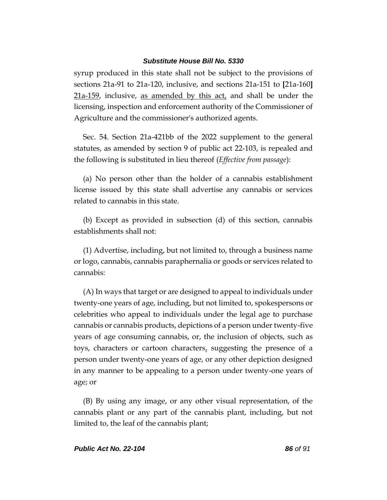syrup produced in this state shall not be subject to the provisions of sections 21a-91 to 21a-120, inclusive, and sections 21a-151 to **[**21a-160**]** 21a-159, inclusive, as amended by this act, and shall be under the licensing, inspection and enforcement authority of the Commissioner of Agriculture and the commissioner's authorized agents.

Sec. 54. Section 21a-421bb of the 2022 supplement to the general statutes, as amended by section 9 of public act 22-103, is repealed and the following is substituted in lieu thereof (*Effective from passage*):

(a) No person other than the holder of a cannabis establishment license issued by this state shall advertise any cannabis or services related to cannabis in this state.

(b) Except as provided in subsection (d) of this section, cannabis establishments shall not:

(1) Advertise, including, but not limited to, through a business name or logo, cannabis, cannabis paraphernalia or goods or services related to cannabis:

(A) In ways that target or are designed to appeal to individuals under twenty-one years of age, including, but not limited to, spokespersons or celebrities who appeal to individuals under the legal age to purchase cannabis or cannabis products, depictions of a person under twenty-five years of age consuming cannabis, or, the inclusion of objects, such as toys, characters or cartoon characters, suggesting the presence of a person under twenty-one years of age, or any other depiction designed in any manner to be appealing to a person under twenty-one years of age; or

(B) By using any image, or any other visual representation, of the cannabis plant or any part of the cannabis plant, including, but not limited to, the leaf of the cannabis plant;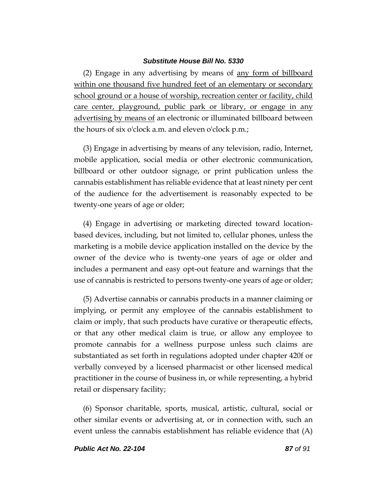(2) Engage in any advertising by means of any form of billboard within one thousand five hundred feet of an elementary or secondary school ground or a house of worship, recreation center or facility, child care center, playground, public park or library, or engage in any advertising by means of an electronic or illuminated billboard between the hours of six o'clock a.m. and eleven o'clock p.m.;

(3) Engage in advertising by means of any television, radio, Internet, mobile application, social media or other electronic communication, billboard or other outdoor signage, or print publication unless the cannabis establishment has reliable evidence that at least ninety per cent of the audience for the advertisement is reasonably expected to be twenty-one years of age or older;

(4) Engage in advertising or marketing directed toward locationbased devices, including, but not limited to, cellular phones, unless the marketing is a mobile device application installed on the device by the owner of the device who is twenty-one years of age or older and includes a permanent and easy opt-out feature and warnings that the use of cannabis is restricted to persons twenty-one years of age or older;

(5) Advertise cannabis or cannabis products in a manner claiming or implying, or permit any employee of the cannabis establishment to claim or imply, that such products have curative or therapeutic effects, or that any other medical claim is true, or allow any employee to promote cannabis for a wellness purpose unless such claims are substantiated as set forth in regulations adopted under chapter 420f or verbally conveyed by a licensed pharmacist or other licensed medical practitioner in the course of business in, or while representing, a hybrid retail or dispensary facility;

(6) Sponsor charitable, sports, musical, artistic, cultural, social or other similar events or advertising at, or in connection with, such an event unless the cannabis establishment has reliable evidence that (A)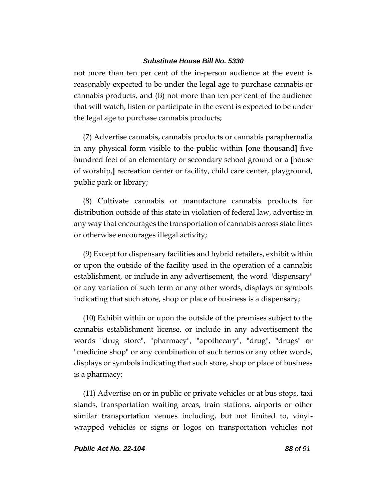not more than ten per cent of the in-person audience at the event is reasonably expected to be under the legal age to purchase cannabis or cannabis products, and (B) not more than ten per cent of the audience that will watch, listen or participate in the event is expected to be under the legal age to purchase cannabis products;

(7) Advertise cannabis, cannabis products or cannabis paraphernalia in any physical form visible to the public within **[**one thousand**]** five hundred feet of an elementary or secondary school ground or a **[**house of worship,**]** recreation center or facility, child care center, playground, public park or library;

(8) Cultivate cannabis or manufacture cannabis products for distribution outside of this state in violation of federal law, advertise in any way that encourages the transportation of cannabis across state lines or otherwise encourages illegal activity;

(9) Except for dispensary facilities and hybrid retailers, exhibit within or upon the outside of the facility used in the operation of a cannabis establishment, or include in any advertisement, the word "dispensary" or any variation of such term or any other words, displays or symbols indicating that such store, shop or place of business is a dispensary;

(10) Exhibit within or upon the outside of the premises subject to the cannabis establishment license, or include in any advertisement the words "drug store", "pharmacy", "apothecary", "drug", "drugs" or "medicine shop" or any combination of such terms or any other words, displays or symbols indicating that such store, shop or place of business is a pharmacy;

(11) Advertise on or in public or private vehicles or at bus stops, taxi stands, transportation waiting areas, train stations, airports or other similar transportation venues including, but not limited to, vinylwrapped vehicles or signs or logos on transportation vehicles not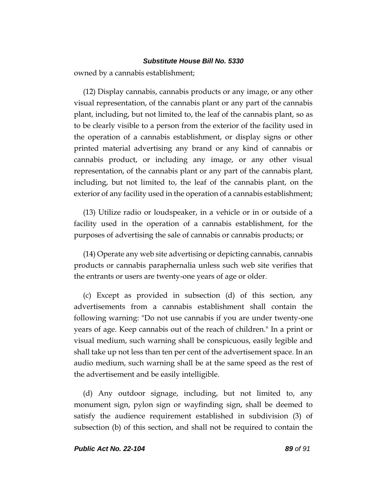owned by a cannabis establishment;

(12) Display cannabis, cannabis products or any image, or any other visual representation, of the cannabis plant or any part of the cannabis plant, including, but not limited to, the leaf of the cannabis plant, so as to be clearly visible to a person from the exterior of the facility used in the operation of a cannabis establishment, or display signs or other printed material advertising any brand or any kind of cannabis or cannabis product, or including any image, or any other visual representation, of the cannabis plant or any part of the cannabis plant, including, but not limited to, the leaf of the cannabis plant, on the exterior of any facility used in the operation of a cannabis establishment;

(13) Utilize radio or loudspeaker, in a vehicle or in or outside of a facility used in the operation of a cannabis establishment, for the purposes of advertising the sale of cannabis or cannabis products; or

(14) Operate any web site advertising or depicting cannabis, cannabis products or cannabis paraphernalia unless such web site verifies that the entrants or users are twenty-one years of age or older.

(c) Except as provided in subsection (d) of this section, any advertisements from a cannabis establishment shall contain the following warning: "Do not use cannabis if you are under twenty-one years of age. Keep cannabis out of the reach of children." In a print or visual medium, such warning shall be conspicuous, easily legible and shall take up not less than ten per cent of the advertisement space. In an audio medium, such warning shall be at the same speed as the rest of the advertisement and be easily intelligible.

(d) Any outdoor signage, including, but not limited to, any monument sign, pylon sign or wayfinding sign, shall be deemed to satisfy the audience requirement established in subdivision (3) of subsection (b) of this section, and shall not be required to contain the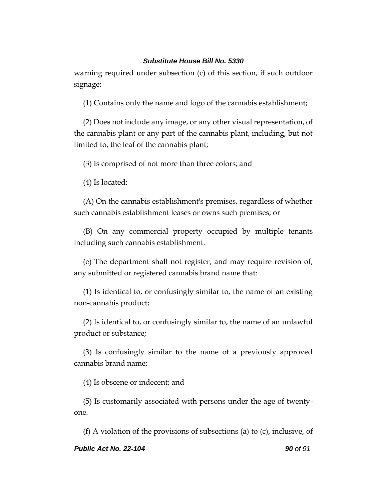warning required under subsection (c) of this section, if such outdoor signage:

(1) Contains only the name and logo of the cannabis establishment;

(2) Does not include any image, or any other visual representation, of the cannabis plant or any part of the cannabis plant, including, but not limited to, the leaf of the cannabis plant;

(3) Is comprised of not more than three colors; and

(4) Is located:

(A) On the cannabis establishment's premises, regardless of whether such cannabis establishment leases or owns such premises; or

(B) On any commercial property occupied by multiple tenants including such cannabis establishment.

(e) The department shall not register, and may require revision of, any submitted or registered cannabis brand name that:

(1) Is identical to, or confusingly similar to, the name of an existing non-cannabis product;

(2) Is identical to, or confusingly similar to, the name of an unlawful product or substance;

(3) Is confusingly similar to the name of a previously approved cannabis brand name;

(4) Is obscene or indecent; and

(5) Is customarily associated with persons under the age of twentyone.

(f) A violation of the provisions of subsections (a) to (c), inclusive, of